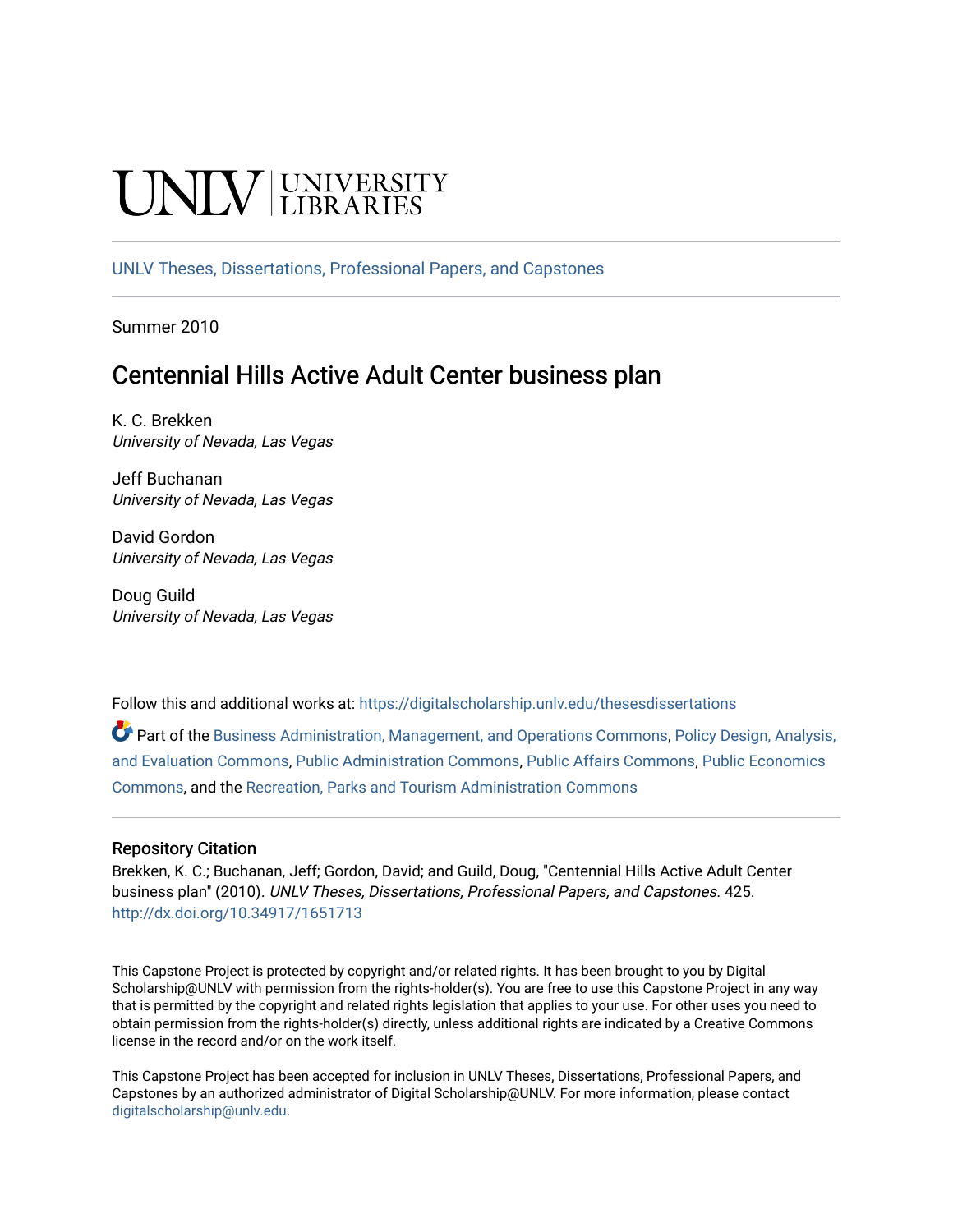# NIV UNIVERSITY

[UNLV Theses, Dissertations, Professional Papers, and Capstones](https://digitalscholarship.unlv.edu/thesesdissertations)

Summer 2010

# Centennial Hills Active Adult Center business plan

K. C. Brekken University of Nevada, Las Vegas

Jeff Buchanan University of Nevada, Las Vegas

David Gordon University of Nevada, Las Vegas

Doug Guild University of Nevada, Las Vegas

Follow this and additional works at: [https://digitalscholarship.unlv.edu/thesesdissertations](https://digitalscholarship.unlv.edu/thesesdissertations?utm_source=digitalscholarship.unlv.edu%2Fthesesdissertations%2F425&utm_medium=PDF&utm_campaign=PDFCoverPages)

Part of the [Business Administration, Management, and Operations Commons](http://network.bepress.com/hgg/discipline/623?utm_source=digitalscholarship.unlv.edu%2Fthesesdissertations%2F425&utm_medium=PDF&utm_campaign=PDFCoverPages), [Policy Design, Analysis,](http://network.bepress.com/hgg/discipline/1032?utm_source=digitalscholarship.unlv.edu%2Fthesesdissertations%2F425&utm_medium=PDF&utm_campaign=PDFCoverPages) [and Evaluation Commons,](http://network.bepress.com/hgg/discipline/1032?utm_source=digitalscholarship.unlv.edu%2Fthesesdissertations%2F425&utm_medium=PDF&utm_campaign=PDFCoverPages) [Public Administration Commons](http://network.bepress.com/hgg/discipline/398?utm_source=digitalscholarship.unlv.edu%2Fthesesdissertations%2F425&utm_medium=PDF&utm_campaign=PDFCoverPages), [Public Affairs Commons,](http://network.bepress.com/hgg/discipline/399?utm_source=digitalscholarship.unlv.edu%2Fthesesdissertations%2F425&utm_medium=PDF&utm_campaign=PDFCoverPages) [Public Economics](http://network.bepress.com/hgg/discipline/351?utm_source=digitalscholarship.unlv.edu%2Fthesesdissertations%2F425&utm_medium=PDF&utm_campaign=PDFCoverPages)  [Commons](http://network.bepress.com/hgg/discipline/351?utm_source=digitalscholarship.unlv.edu%2Fthesesdissertations%2F425&utm_medium=PDF&utm_campaign=PDFCoverPages), and the [Recreation, Parks and Tourism Administration Commons](http://network.bepress.com/hgg/discipline/1067?utm_source=digitalscholarship.unlv.edu%2Fthesesdissertations%2F425&utm_medium=PDF&utm_campaign=PDFCoverPages) 

#### Repository Citation

Brekken, K. C.; Buchanan, Jeff; Gordon, David; and Guild, Doug, "Centennial Hills Active Adult Center business plan" (2010). UNLV Theses, Dissertations, Professional Papers, and Capstones. 425. <http://dx.doi.org/10.34917/1651713>

This Capstone Project is protected by copyright and/or related rights. It has been brought to you by Digital Scholarship@UNLV with permission from the rights-holder(s). You are free to use this Capstone Project in any way that is permitted by the copyright and related rights legislation that applies to your use. For other uses you need to obtain permission from the rights-holder(s) directly, unless additional rights are indicated by a Creative Commons license in the record and/or on the work itself.

This Capstone Project has been accepted for inclusion in UNLV Theses, Dissertations, Professional Papers, and Capstones by an authorized administrator of Digital Scholarship@UNLV. For more information, please contact [digitalscholarship@unlv.edu](mailto:digitalscholarship@unlv.edu).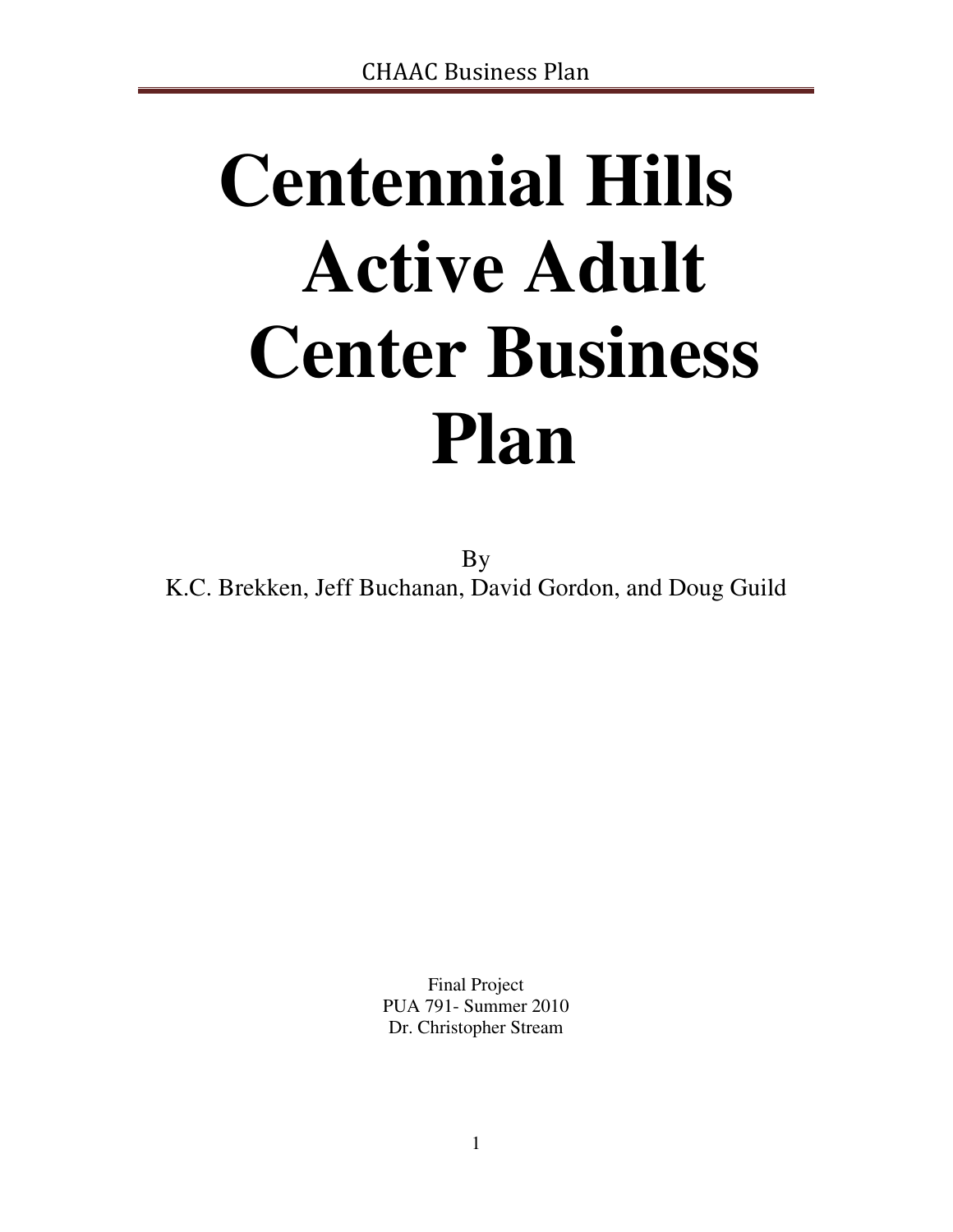# **Centennial Hills Active Adult Center Business Plan**

By K.C. Brekken, Jeff Buchanan, David Gordon, and Doug Guild

> Final Project PUA 791- Summer 2010 Dr. Christopher Stream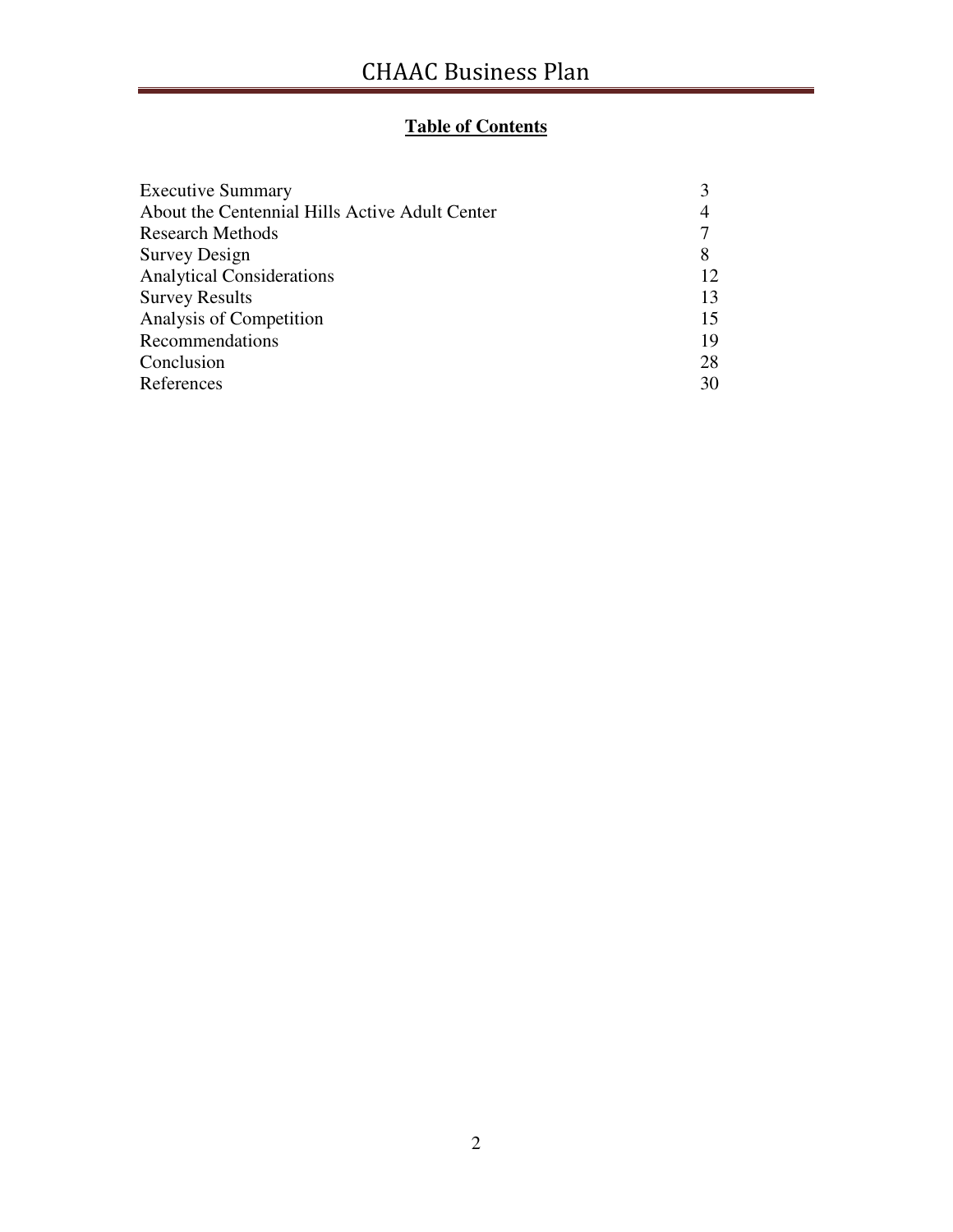### **Table of Contents**

| <b>Executive Summary</b>                       |    |
|------------------------------------------------|----|
| About the Centennial Hills Active Adult Center | 4  |
| <b>Research Methods</b>                        |    |
| <b>Survey Design</b>                           | 8  |
| <b>Analytical Considerations</b>               | 12 |
| <b>Survey Results</b>                          | 13 |
| Analysis of Competition                        | 15 |
| Recommendations                                | 19 |
| Conclusion                                     | 28 |
| References                                     | 30 |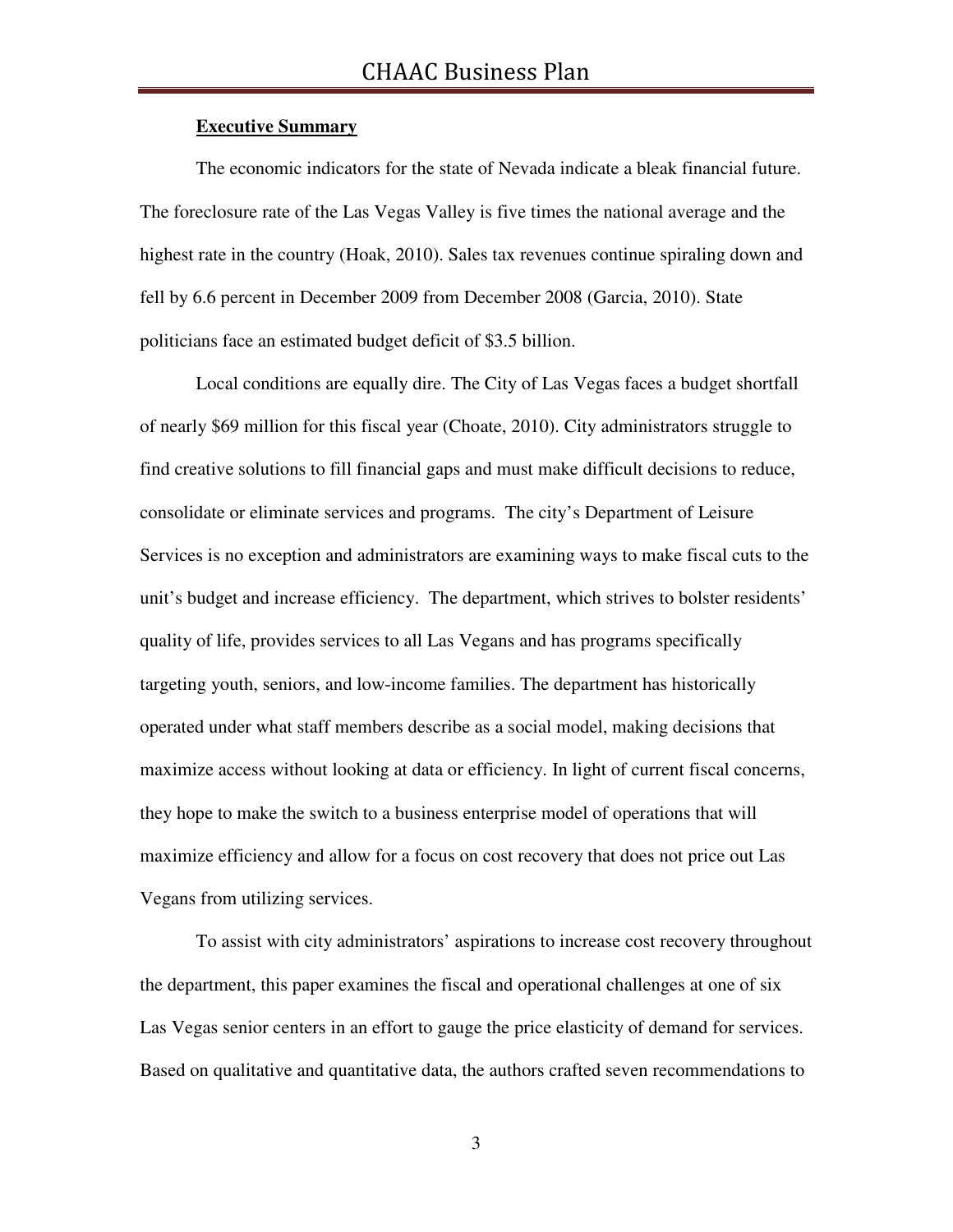#### **Executive Summary**

The economic indicators for the state of Nevada indicate a bleak financial future. The foreclosure rate of the Las Vegas Valley is five times the national average and the highest rate in the country (Hoak, 2010). Sales tax revenues continue spiraling down and fell by 6.6 percent in December 2009 from December 2008 (Garcia, 2010). State politicians face an estimated budget deficit of \$3.5 billion.

Local conditions are equally dire. The City of Las Vegas faces a budget shortfall of nearly \$69 million for this fiscal year (Choate, 2010). City administrators struggle to find creative solutions to fill financial gaps and must make difficult decisions to reduce, consolidate or eliminate services and programs. The city's Department of Leisure Services is no exception and administrators are examining ways to make fiscal cuts to the unit's budget and increase efficiency. The department, which strives to bolster residents' quality of life, provides services to all Las Vegans and has programs specifically targeting youth, seniors, and low-income families. The department has historically operated under what staff members describe as a social model, making decisions that maximize access without looking at data or efficiency. In light of current fiscal concerns, they hope to make the switch to a business enterprise model of operations that will maximize efficiency and allow for a focus on cost recovery that does not price out Las Vegans from utilizing services.

 To assist with city administrators' aspirations to increase cost recovery throughout the department, this paper examines the fiscal and operational challenges at one of six Las Vegas senior centers in an effort to gauge the price elasticity of demand for services. Based on qualitative and quantitative data, the authors crafted seven recommendations to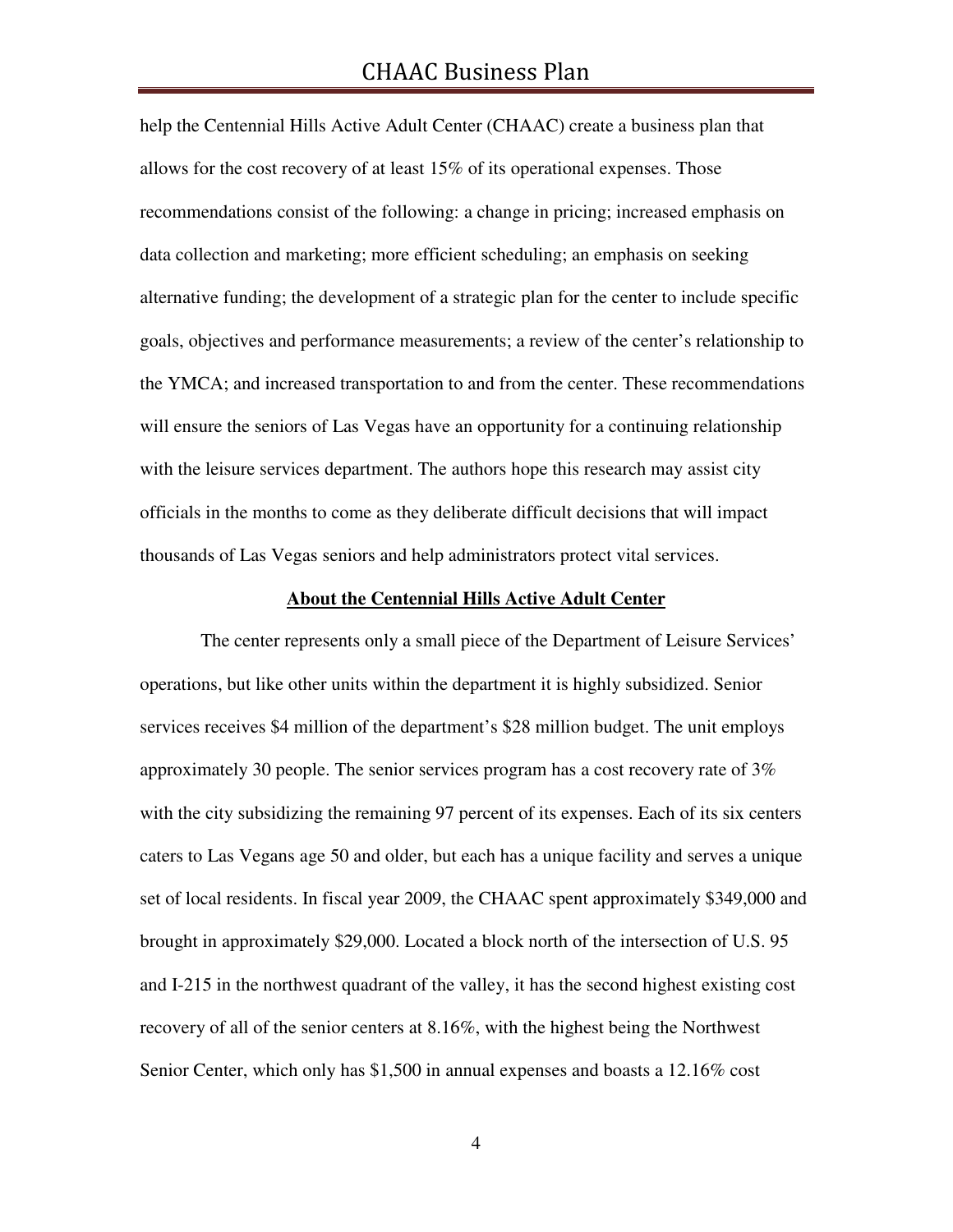help the Centennial Hills Active Adult Center (CHAAC) create a business plan that allows for the cost recovery of at least 15% of its operational expenses. Those recommendations consist of the following: a change in pricing; increased emphasis on data collection and marketing; more efficient scheduling; an emphasis on seeking alternative funding; the development of a strategic plan for the center to include specific goals, objectives and performance measurements; a review of the center's relationship to the YMCA; and increased transportation to and from the center. These recommendations will ensure the seniors of Las Vegas have an opportunity for a continuing relationship with the leisure services department. The authors hope this research may assist city officials in the months to come as they deliberate difficult decisions that will impact thousands of Las Vegas seniors and help administrators protect vital services.

#### **About the Centennial Hills Active Adult Center**

 The center represents only a small piece of the Department of Leisure Services' operations, but like other units within the department it is highly subsidized. Senior services receives \$4 million of the department's \$28 million budget. The unit employs approximately 30 people. The senior services program has a cost recovery rate of 3% with the city subsidizing the remaining 97 percent of its expenses. Each of its six centers caters to Las Vegans age 50 and older, but each has a unique facility and serves a unique set of local residents. In fiscal year 2009, the CHAAC spent approximately \$349,000 and brought in approximately \$29,000. Located a block north of the intersection of U.S. 95 and I-215 in the northwest quadrant of the valley, it has the second highest existing cost recovery of all of the senior centers at 8.16%, with the highest being the Northwest Senior Center, which only has \$1,500 in annual expenses and boasts a 12.16% cost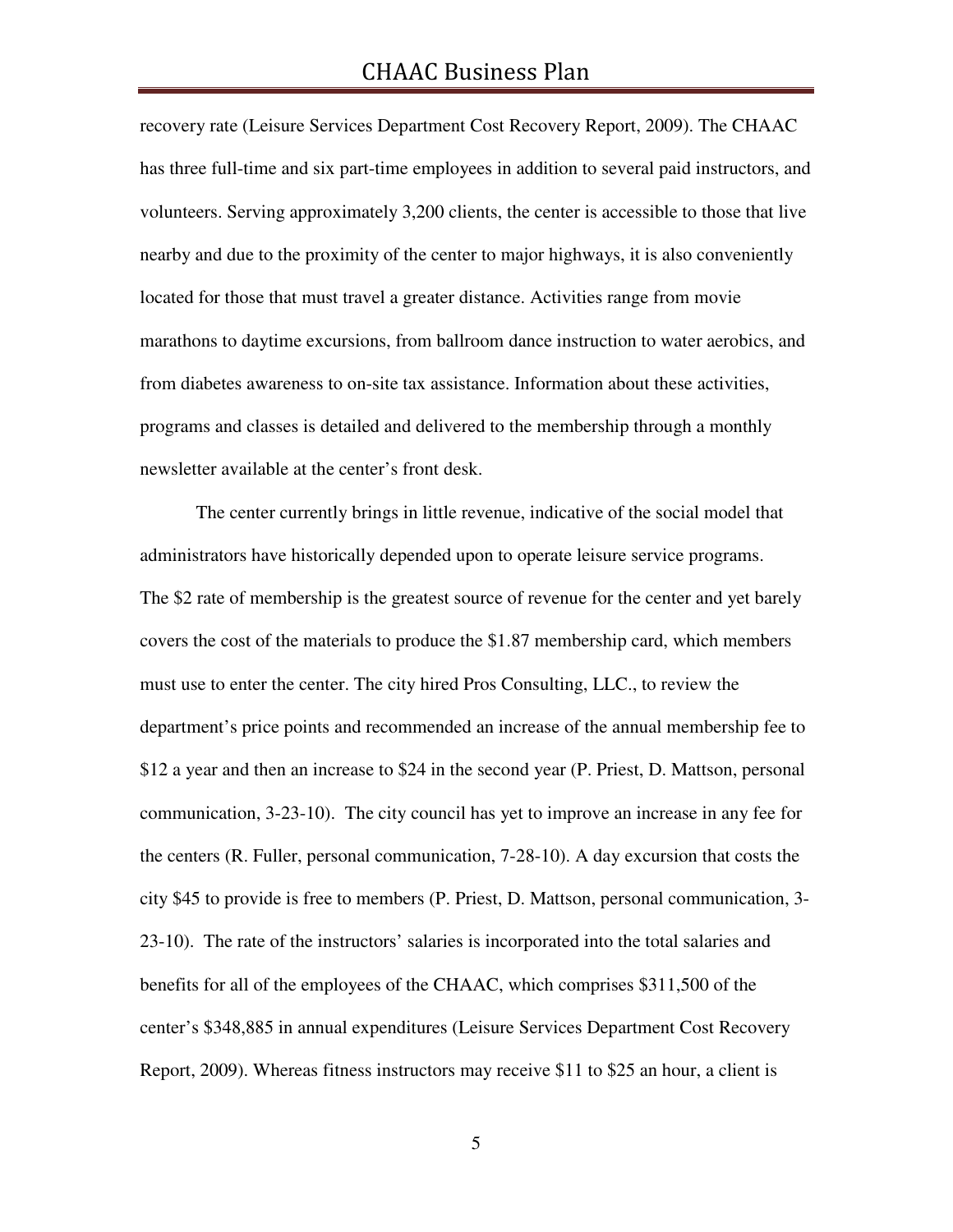recovery rate (Leisure Services Department Cost Recovery Report, 2009). The CHAAC has three full-time and six part-time employees in addition to several paid instructors, and volunteers. Serving approximately 3,200 clients, the center is accessible to those that live nearby and due to the proximity of the center to major highways, it is also conveniently located for those that must travel a greater distance. Activities range from movie marathons to daytime excursions, from ballroom dance instruction to water aerobics, and from diabetes awareness to on-site tax assistance. Information about these activities, programs and classes is detailed and delivered to the membership through a monthly newsletter available at the center's front desk.

 The center currently brings in little revenue, indicative of the social model that administrators have historically depended upon to operate leisure service programs. The \$2 rate of membership is the greatest source of revenue for the center and yet barely covers the cost of the materials to produce the \$1.87 membership card, which members must use to enter the center. The city hired Pros Consulting, LLC., to review the department's price points and recommended an increase of the annual membership fee to \$12 a year and then an increase to \$24 in the second year (P. Priest, D. Mattson, personal communication, 3-23-10). The city council has yet to improve an increase in any fee for the centers (R. Fuller, personal communication, 7-28-10). A day excursion that costs the city \$45 to provide is free to members (P. Priest, D. Mattson, personal communication, 3- 23-10). The rate of the instructors' salaries is incorporated into the total salaries and benefits for all of the employees of the CHAAC, which comprises \$311,500 of the center's \$348,885 in annual expenditures (Leisure Services Department Cost Recovery Report, 2009). Whereas fitness instructors may receive \$11 to \$25 an hour, a client is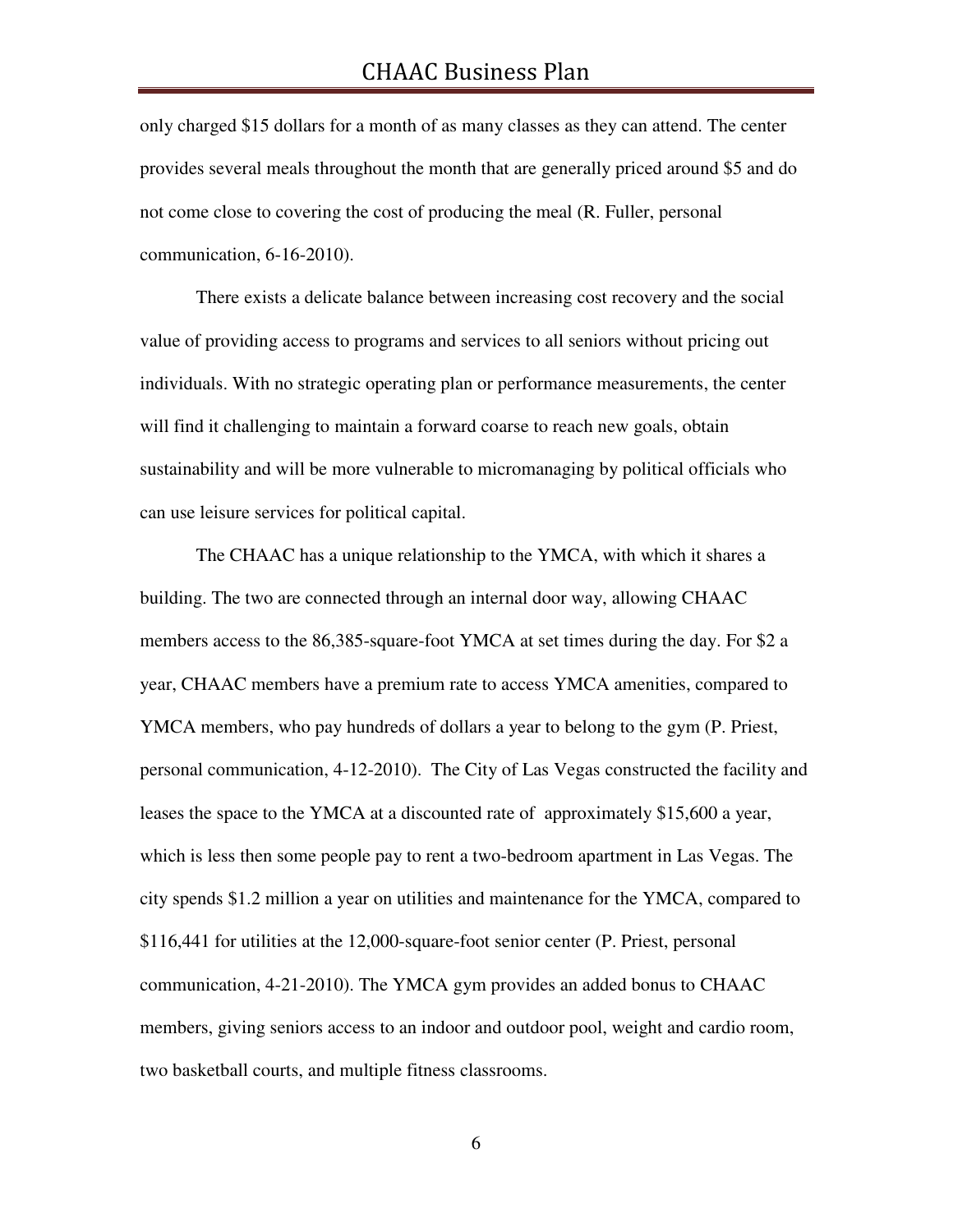only charged \$15 dollars for a month of as many classes as they can attend. The center provides several meals throughout the month that are generally priced around \$5 and do not come close to covering the cost of producing the meal (R. Fuller, personal communication, 6-16-2010).

There exists a delicate balance between increasing cost recovery and the social value of providing access to programs and services to all seniors without pricing out individuals. With no strategic operating plan or performance measurements, the center will find it challenging to maintain a forward coarse to reach new goals, obtain sustainability and will be more vulnerable to micromanaging by political officials who can use leisure services for political capital.

 The CHAAC has a unique relationship to the YMCA, with which it shares a building. The two are connected through an internal door way, allowing CHAAC members access to the 86,385-square-foot YMCA at set times during the day. For \$2 a year, CHAAC members have a premium rate to access YMCA amenities, compared to YMCA members, who pay hundreds of dollars a year to belong to the gym (P. Priest, personal communication, 4-12-2010). The City of Las Vegas constructed the facility and leases the space to the YMCA at a discounted rate of approximately \$15,600 a year, which is less then some people pay to rent a two-bedroom apartment in Las Vegas. The city spends \$1.2 million a year on utilities and maintenance for the YMCA, compared to \$116,441 for utilities at the 12,000-square-foot senior center (P. Priest, personal communication, 4-21-2010). The YMCA gym provides an added bonus to CHAAC members, giving seniors access to an indoor and outdoor pool, weight and cardio room, two basketball courts, and multiple fitness classrooms.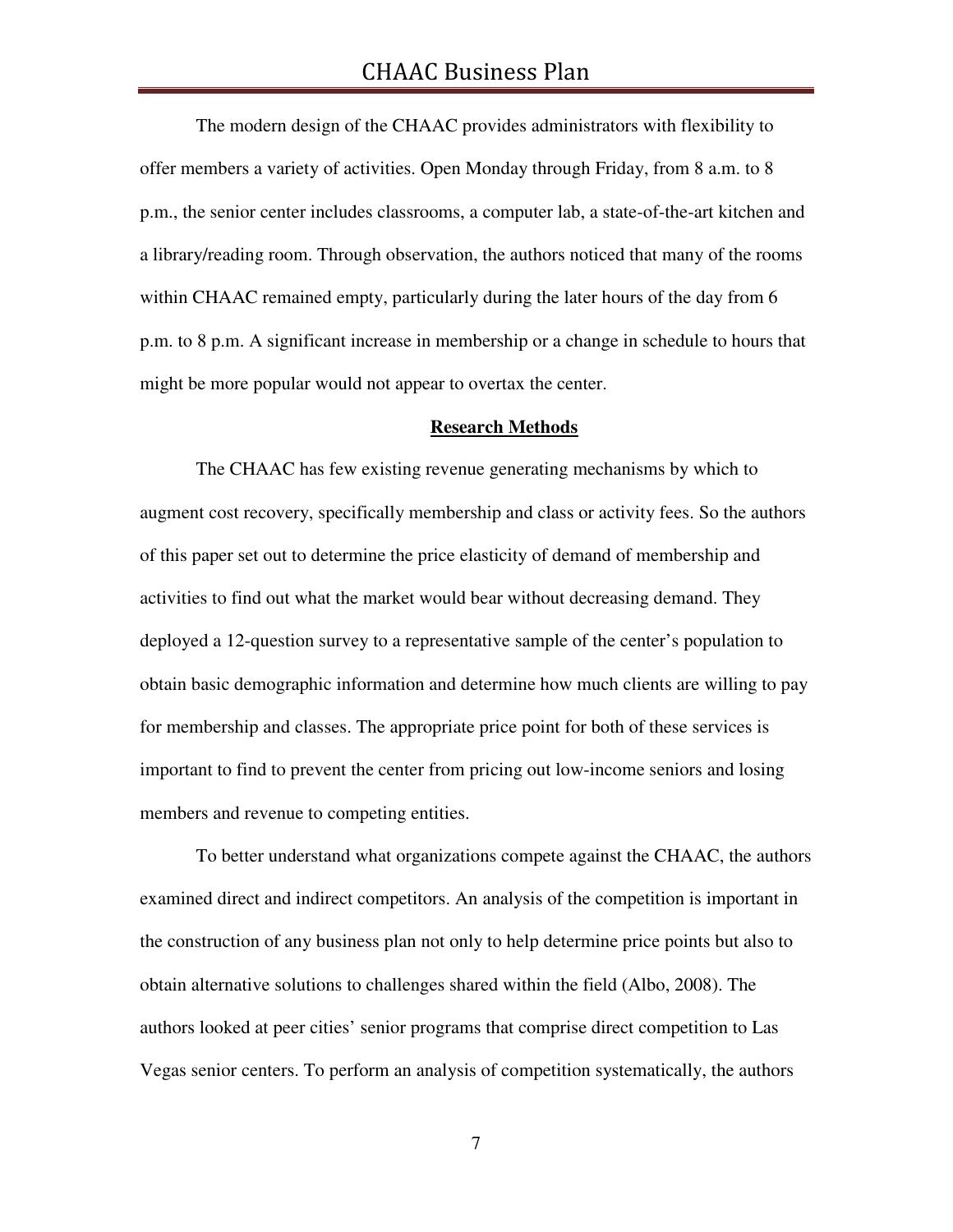The modern design of the CHAAC provides administrators with flexibility to offer members a variety of activities. Open Monday through Friday, from 8 a.m. to 8 p.m., the senior center includes classrooms, a computer lab, a state-of-the-art kitchen and a library/reading room. Through observation, the authors noticed that many of the rooms within CHAAC remained empty, particularly during the later hours of the day from 6 p.m. to 8 p.m. A significant increase in membership or a change in schedule to hours that might be more popular would not appear to overtax the center.

#### **Research Methods**

 The CHAAC has few existing revenue generating mechanisms by which to augment cost recovery, specifically membership and class or activity fees. So the authors of this paper set out to determine the price elasticity of demand of membership and activities to find out what the market would bear without decreasing demand. They deployed a 12-question survey to a representative sample of the center's population to obtain basic demographic information and determine how much clients are willing to pay for membership and classes. The appropriate price point for both of these services is important to find to prevent the center from pricing out low-income seniors and losing members and revenue to competing entities.

 To better understand what organizations compete against the CHAAC, the authors examined direct and indirect competitors. An analysis of the competition is important in the construction of any business plan not only to help determine price points but also to obtain alternative solutions to challenges shared within the field (Albo, 2008). The authors looked at peer cities' senior programs that comprise direct competition to Las Vegas senior centers. To perform an analysis of competition systematically, the authors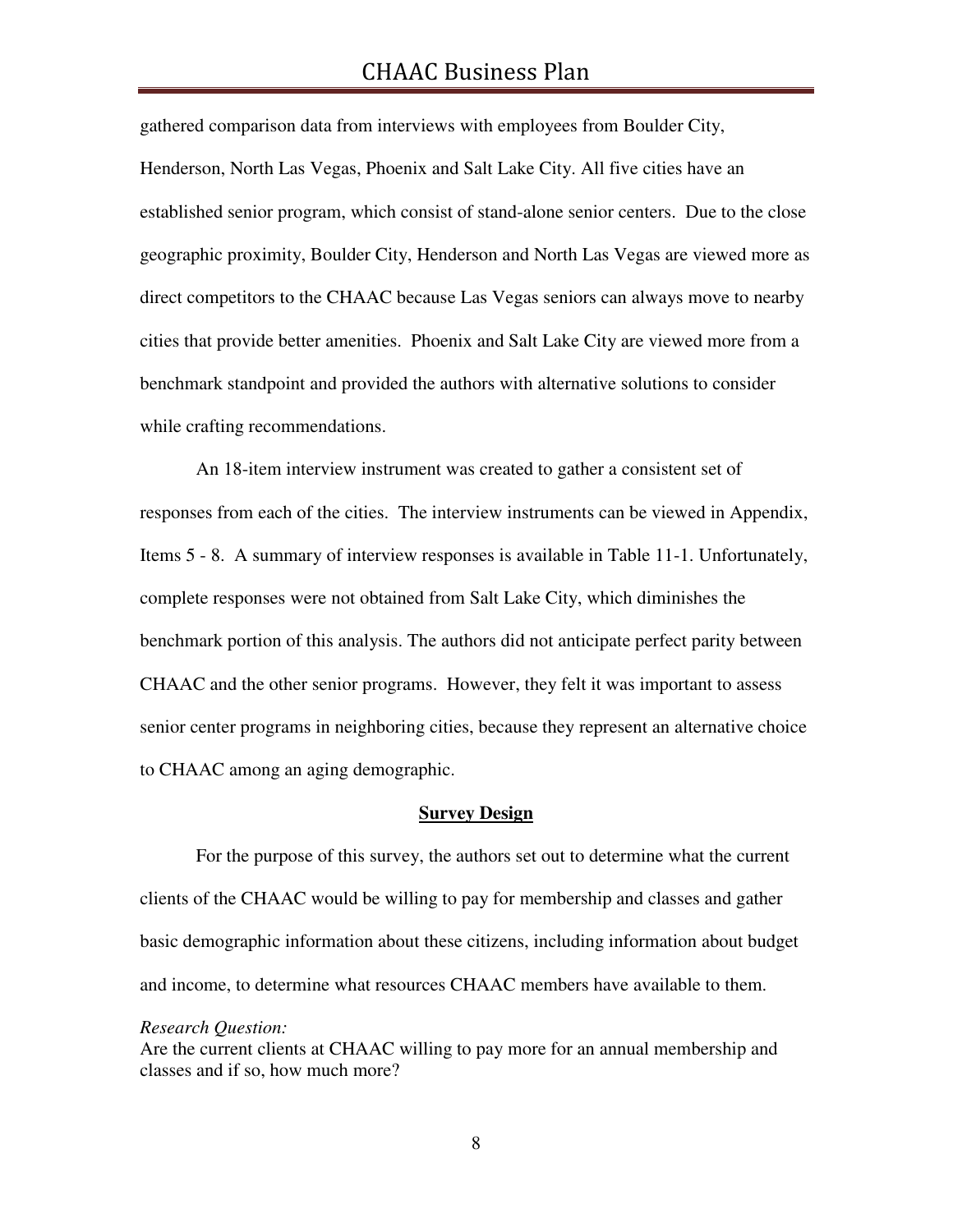gathered comparison data from interviews with employees from Boulder City, Henderson, North Las Vegas, Phoenix and Salt Lake City. All five cities have an established senior program, which consist of stand-alone senior centers. Due to the close geographic proximity, Boulder City, Henderson and North Las Vegas are viewed more as direct competitors to the CHAAC because Las Vegas seniors can always move to nearby cities that provide better amenities. Phoenix and Salt Lake City are viewed more from a benchmark standpoint and provided the authors with alternative solutions to consider while crafting recommendations.

 An 18-item interview instrument was created to gather a consistent set of responses from each of the cities. The interview instruments can be viewed in Appendix, Items 5 - 8. A summary of interview responses is available in Table 11-1. Unfortunately, complete responses were not obtained from Salt Lake City, which diminishes the benchmark portion of this analysis. The authors did not anticipate perfect parity between CHAAC and the other senior programs. However, they felt it was important to assess senior center programs in neighboring cities, because they represent an alternative choice to CHAAC among an aging demographic.

#### **Survey Design**

For the purpose of this survey, the authors set out to determine what the current clients of the CHAAC would be willing to pay for membership and classes and gather basic demographic information about these citizens, including information about budget and income, to determine what resources CHAAC members have available to them.

*Research Question:* 

Are the current clients at CHAAC willing to pay more for an annual membership and classes and if so, how much more?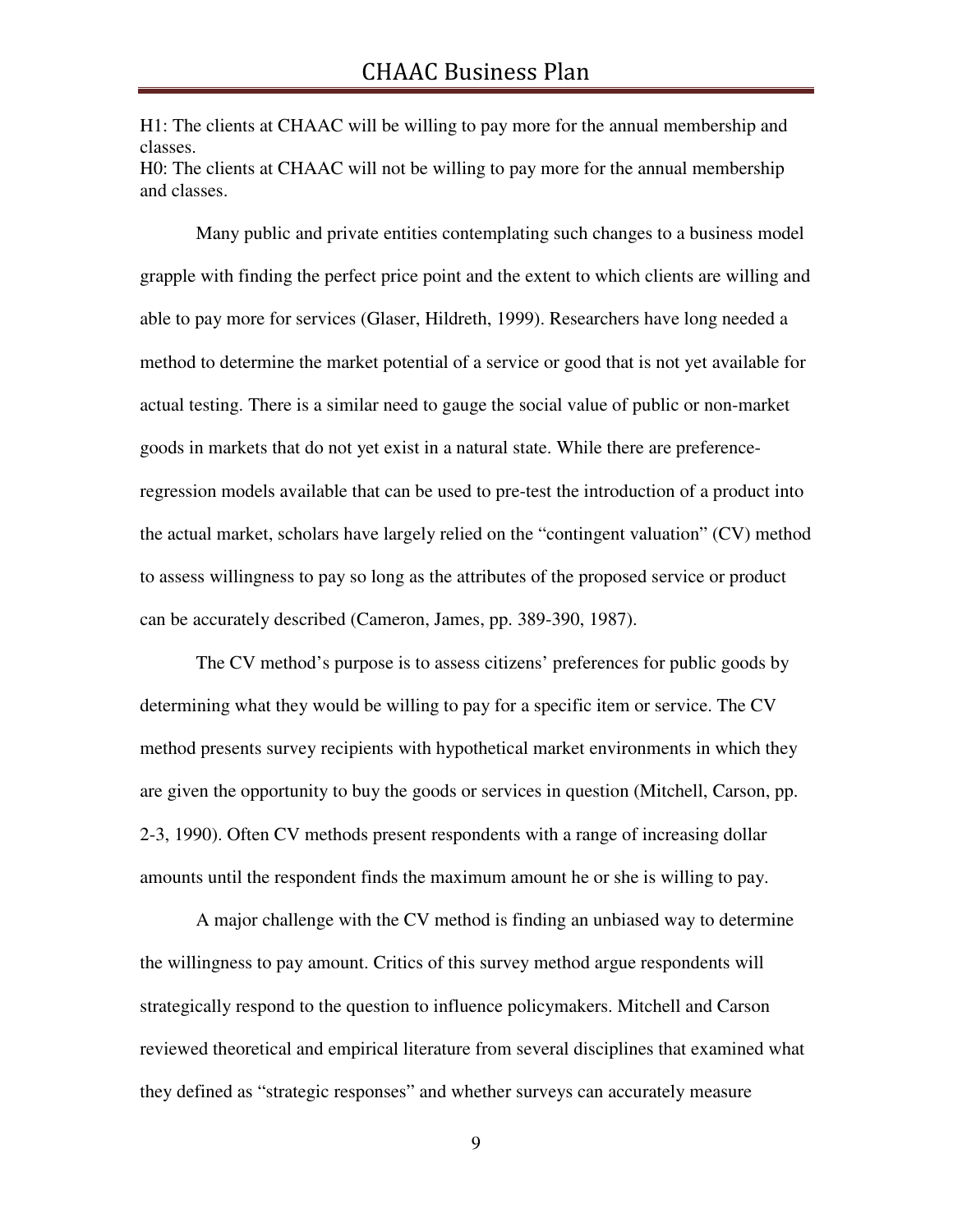H1: The clients at CHAAC will be willing to pay more for the annual membership and classes. H0: The clients at CHAAC will not be willing to pay more for the annual membership and classes.

Many public and private entities contemplating such changes to a business model grapple with finding the perfect price point and the extent to which clients are willing and able to pay more for services (Glaser, Hildreth, 1999). Researchers have long needed a method to determine the market potential of a service or good that is not yet available for actual testing. There is a similar need to gauge the social value of public or non-market goods in markets that do not yet exist in a natural state. While there are preferenceregression models available that can be used to pre-test the introduction of a product into the actual market, scholars have largely relied on the "contingent valuation" (CV) method to assess willingness to pay so long as the attributes of the proposed service or product can be accurately described (Cameron, James, pp. 389-390, 1987).

 The CV method's purpose is to assess citizens' preferences for public goods by determining what they would be willing to pay for a specific item or service. The CV method presents survey recipients with hypothetical market environments in which they are given the opportunity to buy the goods or services in question (Mitchell, Carson, pp. 2-3, 1990). Often CV methods present respondents with a range of increasing dollar amounts until the respondent finds the maximum amount he or she is willing to pay.

A major challenge with the CV method is finding an unbiased way to determine the willingness to pay amount. Critics of this survey method argue respondents will strategically respond to the question to influence policymakers. Mitchell and Carson reviewed theoretical and empirical literature from several disciplines that examined what they defined as "strategic responses" and whether surveys can accurately measure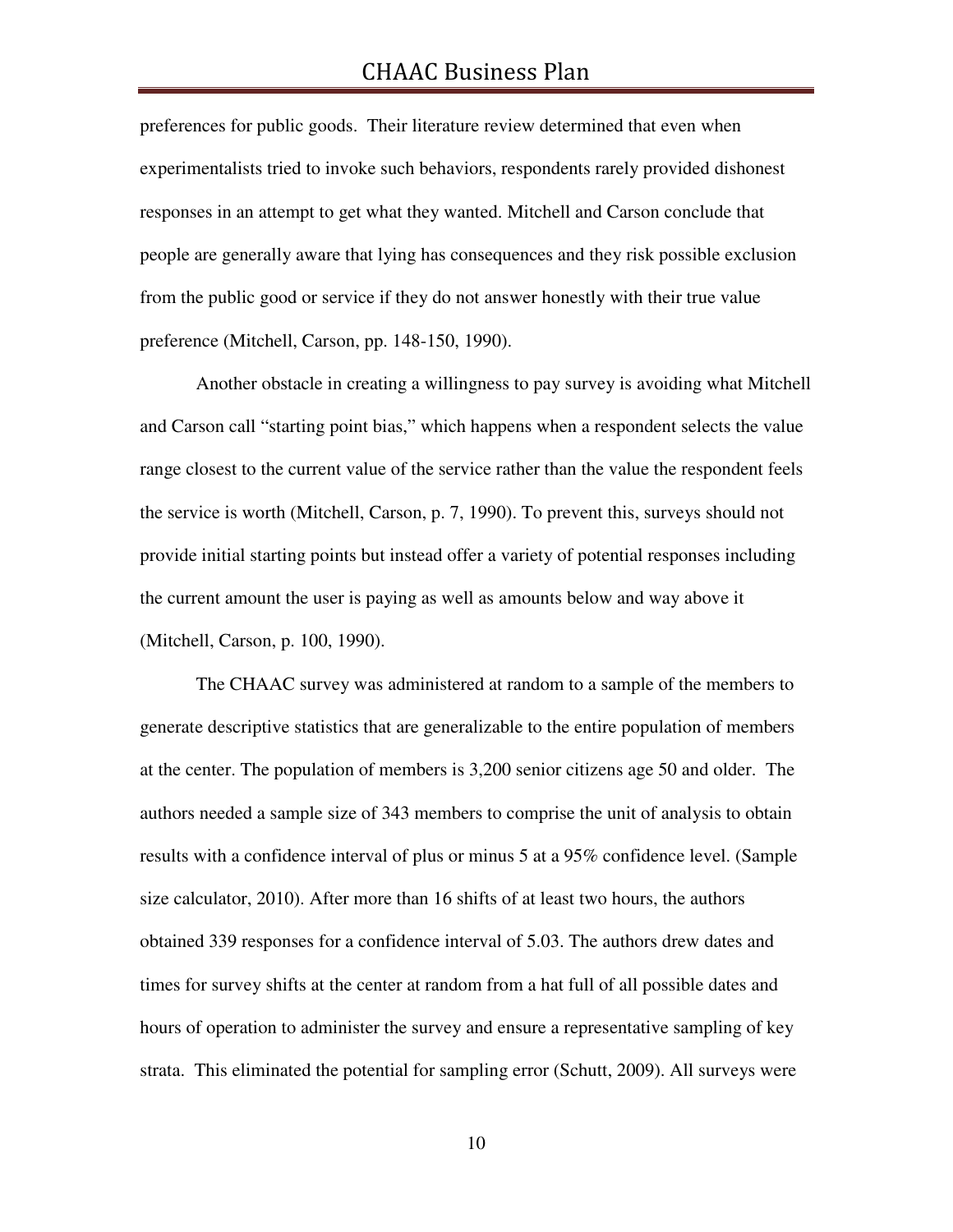# CHAAC Business Plan

preferences for public goods. Their literature review determined that even when experimentalists tried to invoke such behaviors, respondents rarely provided dishonest responses in an attempt to get what they wanted. Mitchell and Carson conclude that people are generally aware that lying has consequences and they risk possible exclusion from the public good or service if they do not answer honestly with their true value preference (Mitchell, Carson, pp. 148-150, 1990).

 Another obstacle in creating a willingness to pay survey is avoiding what Mitchell and Carson call "starting point bias," which happens when a respondent selects the value range closest to the current value of the service rather than the value the respondent feels the service is worth (Mitchell, Carson, p. 7, 1990). To prevent this, surveys should not provide initial starting points but instead offer a variety of potential responses including the current amount the user is paying as well as amounts below and way above it (Mitchell, Carson, p. 100, 1990).

 The CHAAC survey was administered at random to a sample of the members to generate descriptive statistics that are generalizable to the entire population of members at the center. The population of members is 3,200 senior citizens age 50 and older. The authors needed a sample size of 343 members to comprise the unit of analysis to obtain results with a confidence interval of plus or minus 5 at a 95% confidence level. (Sample size calculator, 2010). After more than 16 shifts of at least two hours, the authors obtained 339 responses for a confidence interval of 5.03. The authors drew dates and times for survey shifts at the center at random from a hat full of all possible dates and hours of operation to administer the survey and ensure a representative sampling of key strata. This eliminated the potential for sampling error (Schutt, 2009). All surveys were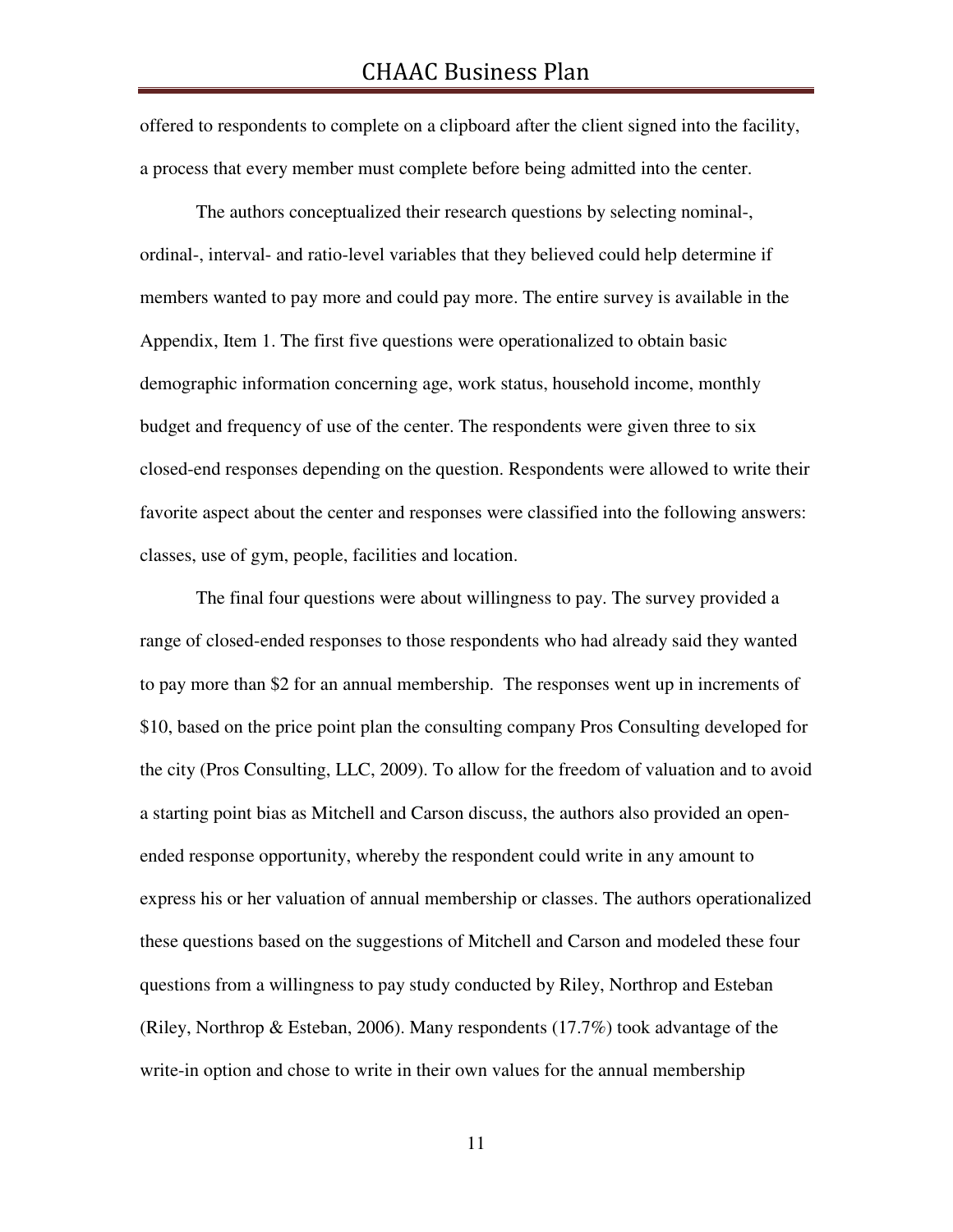offered to respondents to complete on a clipboard after the client signed into the facility, a process that every member must complete before being admitted into the center.

 The authors conceptualized their research questions by selecting nominal-, ordinal-, interval- and ratio-level variables that they believed could help determine if members wanted to pay more and could pay more. The entire survey is available in the Appendix, Item 1. The first five questions were operationalized to obtain basic demographic information concerning age, work status, household income, monthly budget and frequency of use of the center. The respondents were given three to six closed-end responses depending on the question. Respondents were allowed to write their favorite aspect about the center and responses were classified into the following answers: classes, use of gym, people, facilities and location.

 The final four questions were about willingness to pay. The survey provided a range of closed-ended responses to those respondents who had already said they wanted to pay more than \$2 for an annual membership. The responses went up in increments of \$10, based on the price point plan the consulting company Pros Consulting developed for the city (Pros Consulting, LLC, 2009). To allow for the freedom of valuation and to avoid a starting point bias as Mitchell and Carson discuss, the authors also provided an openended response opportunity, whereby the respondent could write in any amount to express his or her valuation of annual membership or classes. The authors operationalized these questions based on the suggestions of Mitchell and Carson and modeled these four questions from a willingness to pay study conducted by Riley, Northrop and Esteban (Riley, Northrop & Esteban, 2006). Many respondents (17.7%) took advantage of the write-in option and chose to write in their own values for the annual membership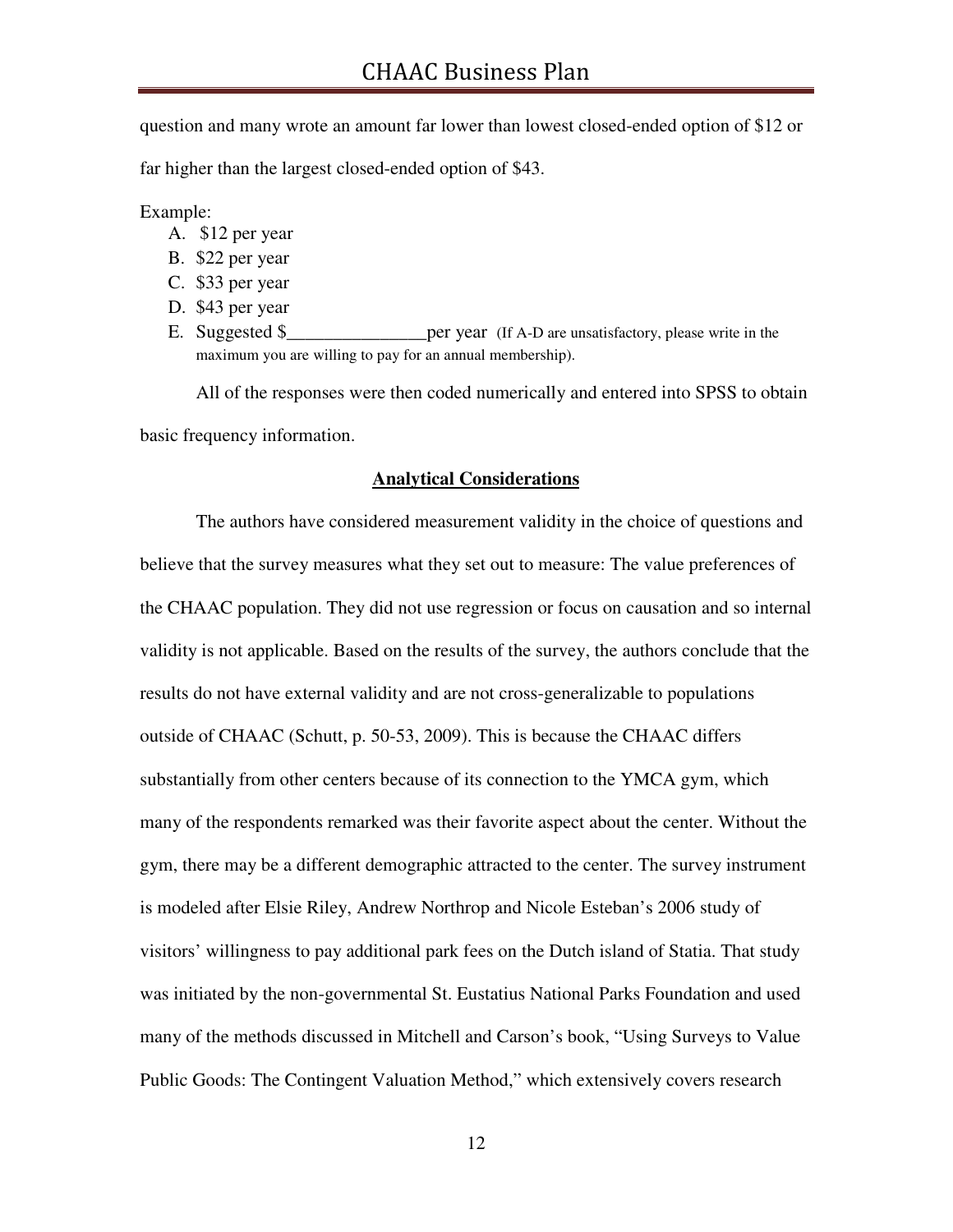question and many wrote an amount far lower than lowest closed-ended option of \$12 or

far higher than the largest closed-ended option of \$43.

Example:

- A. \$12 per year
- B. \$22 per year
- C. \$33 per year
- D. \$43 per year
- E. Suggested \$\_\_\_\_\_\_\_\_\_\_\_\_\_\_\_\_\_\_\_per year (If A-D are unsatisfactory, please write in the maximum you are willing to pay for an annual membership).

 All of the responses were then coded numerically and entered into SPSS to obtain basic frequency information.

#### **Analytical Considerations**

 The authors have considered measurement validity in the choice of questions and believe that the survey measures what they set out to measure: The value preferences of the CHAAC population. They did not use regression or focus on causation and so internal validity is not applicable. Based on the results of the survey, the authors conclude that the results do not have external validity and are not cross-generalizable to populations outside of CHAAC (Schutt, p. 50-53, 2009). This is because the CHAAC differs substantially from other centers because of its connection to the YMCA gym, which many of the respondents remarked was their favorite aspect about the center. Without the gym, there may be a different demographic attracted to the center. The survey instrument is modeled after Elsie Riley, Andrew Northrop and Nicole Esteban's 2006 study of visitors' willingness to pay additional park fees on the Dutch island of Statia. That study was initiated by the non-governmental St. Eustatius National Parks Foundation and used many of the methods discussed in Mitchell and Carson's book, "Using Surveys to Value Public Goods: The Contingent Valuation Method," which extensively covers research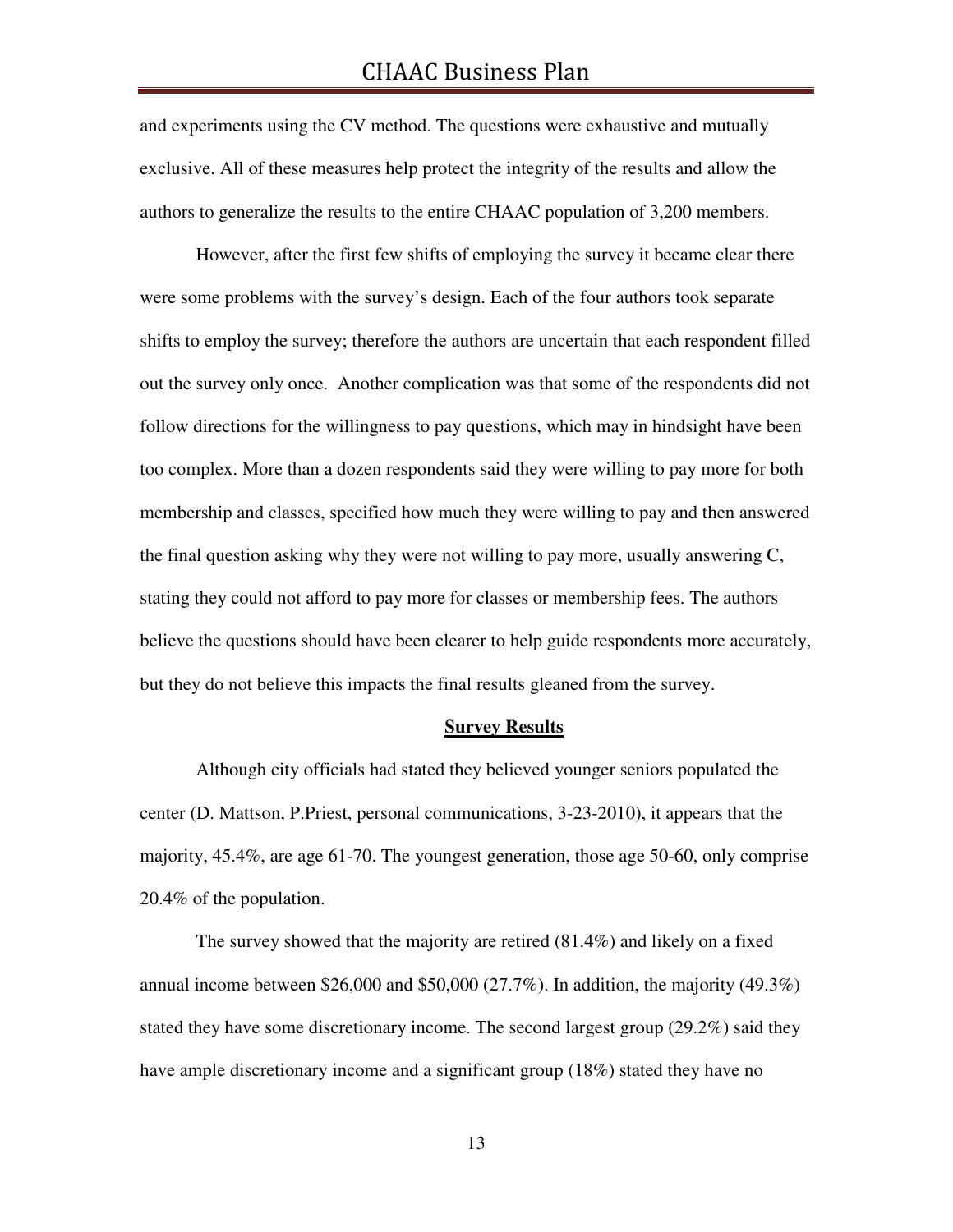and experiments using the CV method. The questions were exhaustive and mutually exclusive. All of these measures help protect the integrity of the results and allow the authors to generalize the results to the entire CHAAC population of 3,200 members.

However, after the first few shifts of employing the survey it became clear there were some problems with the survey's design. Each of the four authors took separate shifts to employ the survey; therefore the authors are uncertain that each respondent filled out the survey only once. Another complication was that some of the respondents did not follow directions for the willingness to pay questions, which may in hindsight have been too complex. More than a dozen respondents said they were willing to pay more for both membership and classes, specified how much they were willing to pay and then answered the final question asking why they were not willing to pay more, usually answering C, stating they could not afford to pay more for classes or membership fees. The authors believe the questions should have been clearer to help guide respondents more accurately, but they do not believe this impacts the final results gleaned from the survey.

#### **Survey Results**

 Although city officials had stated they believed younger seniors populated the center (D. Mattson, P.Priest, personal communications, 3-23-2010), it appears that the majority, 45.4%, are age 61-70. The youngest generation, those age 50-60, only comprise 20.4% of the population.

 The survey showed that the majority are retired (81.4%) and likely on a fixed annual income between \$26,000 and \$50,000 (27.7%). In addition, the majority  $(49.3\%)$ stated they have some discretionary income. The second largest group (29.2%) said they have ample discretionary income and a significant group (18%) stated they have no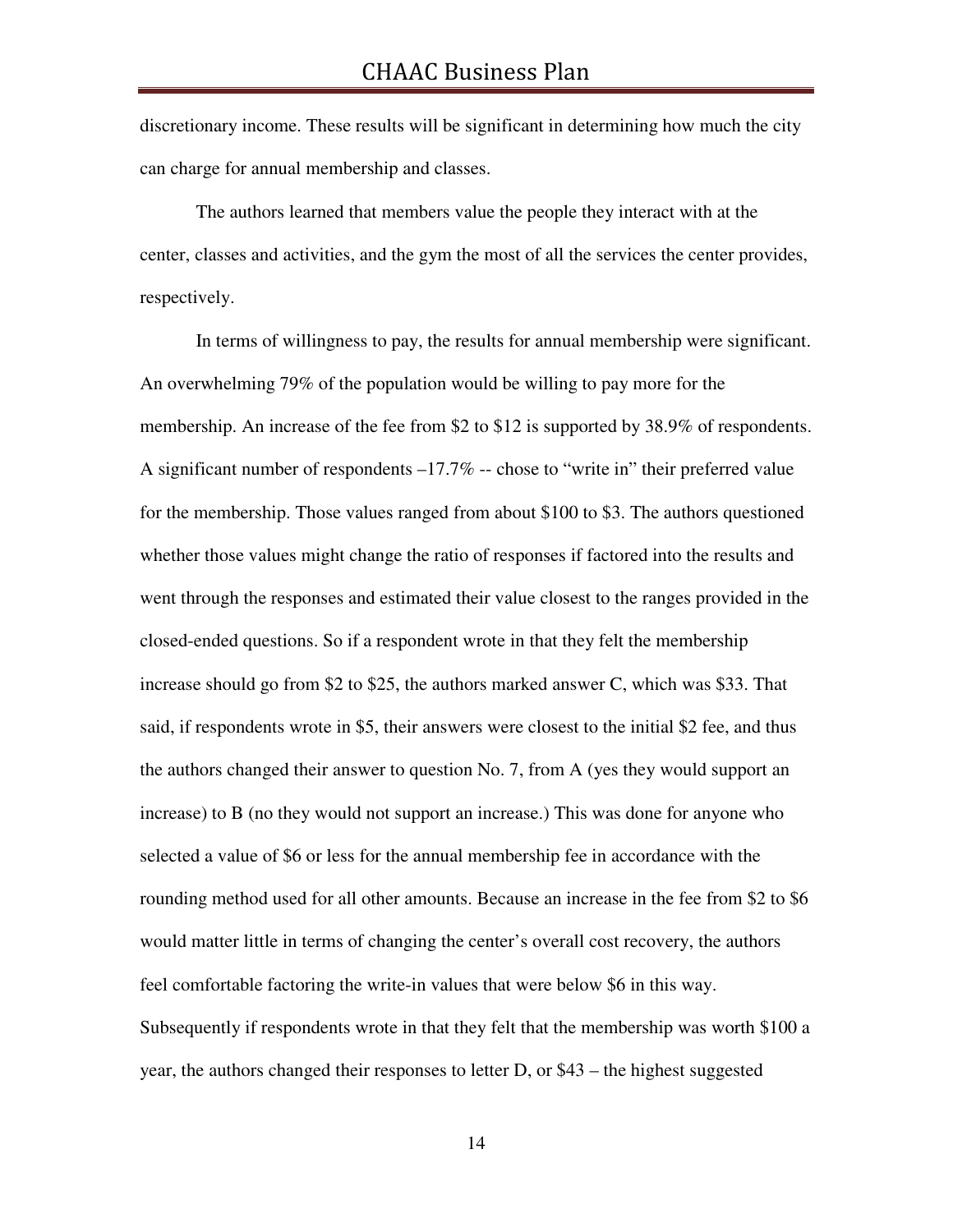discretionary income. These results will be significant in determining how much the city can charge for annual membership and classes.

 The authors learned that members value the people they interact with at the center, classes and activities, and the gym the most of all the services the center provides, respectively.

 In terms of willingness to pay, the results for annual membership were significant. An overwhelming 79% of the population would be willing to pay more for the membership. An increase of the fee from \$2 to \$12 is supported by 38.9% of respondents. A significant number of respondents –17.7% -- chose to "write in" their preferred value for the membership. Those values ranged from about \$100 to \$3. The authors questioned whether those values might change the ratio of responses if factored into the results and went through the responses and estimated their value closest to the ranges provided in the closed-ended questions. So if a respondent wrote in that they felt the membership increase should go from \$2 to \$25, the authors marked answer C, which was \$33. That said, if respondents wrote in \$5, their answers were closest to the initial \$2 fee, and thus the authors changed their answer to question No. 7, from A (yes they would support an increase) to B (no they would not support an increase.) This was done for anyone who selected a value of \$6 or less for the annual membership fee in accordance with the rounding method used for all other amounts. Because an increase in the fee from \$2 to \$6 would matter little in terms of changing the center's overall cost recovery, the authors feel comfortable factoring the write-in values that were below \$6 in this way. Subsequently if respondents wrote in that they felt that the membership was worth \$100 a year, the authors changed their responses to letter D, or \$43 – the highest suggested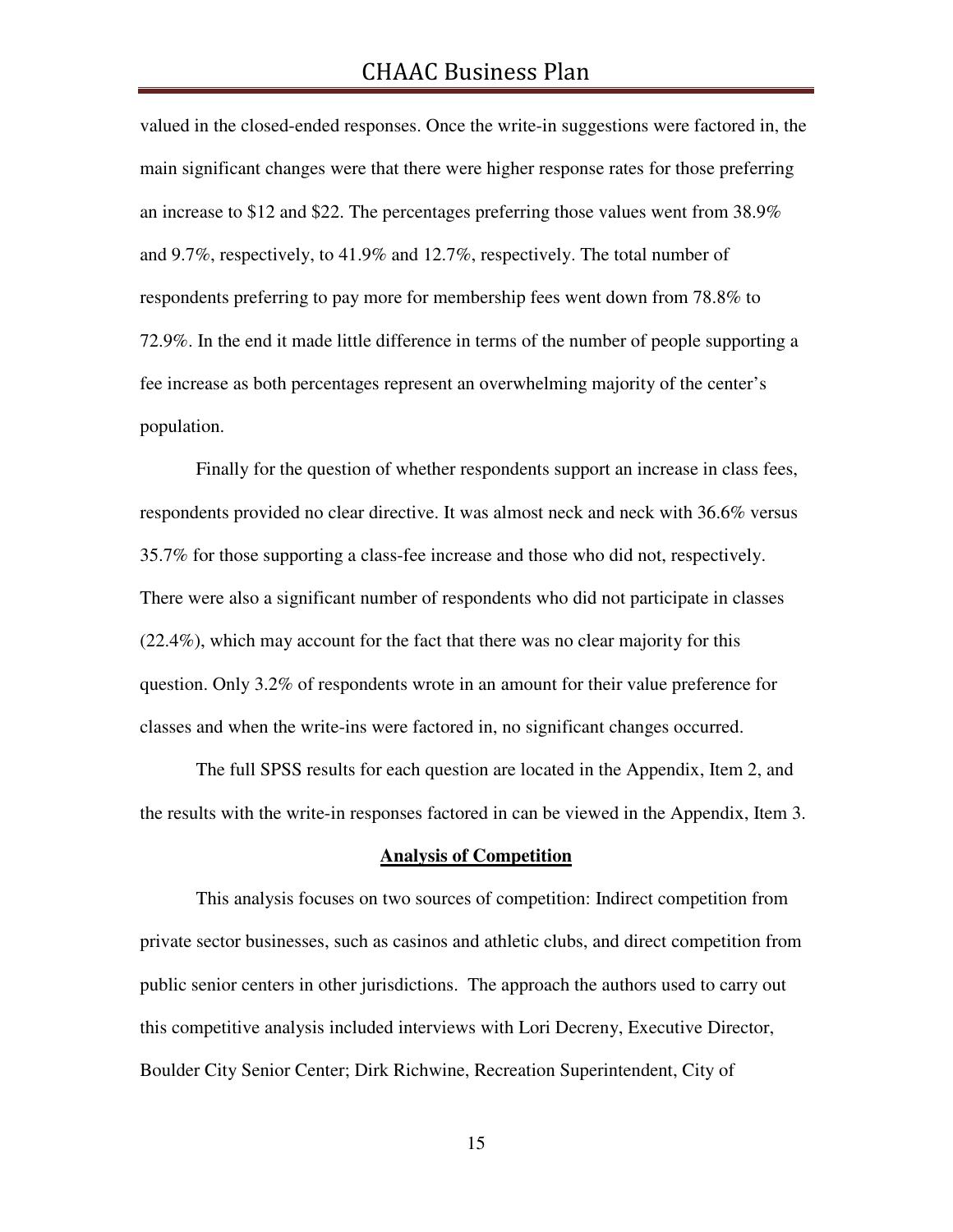valued in the closed-ended responses. Once the write-in suggestions were factored in, the main significant changes were that there were higher response rates for those preferring an increase to \$12 and \$22. The percentages preferring those values went from 38.9% and 9.7%, respectively, to 41.9% and 12.7%, respectively. The total number of respondents preferring to pay more for membership fees went down from 78.8% to 72.9%. In the end it made little difference in terms of the number of people supporting a fee increase as both percentages represent an overwhelming majority of the center's population.

 Finally for the question of whether respondents support an increase in class fees, respondents provided no clear directive. It was almost neck and neck with 36.6% versus 35.7% for those supporting a class-fee increase and those who did not, respectively. There were also a significant number of respondents who did not participate in classes (22.4%), which may account for the fact that there was no clear majority for this question. Only 3.2% of respondents wrote in an amount for their value preference for classes and when the write-ins were factored in, no significant changes occurred.

 The full SPSS results for each question are located in the Appendix, Item 2, and the results with the write-in responses factored in can be viewed in the Appendix, Item 3.

#### **Analysis of Competition**

This analysis focuses on two sources of competition: Indirect competition from private sector businesses, such as casinos and athletic clubs, and direct competition from public senior centers in other jurisdictions. The approach the authors used to carry out this competitive analysis included interviews with Lori Decreny, Executive Director, Boulder City Senior Center; Dirk Richwine, Recreation Superintendent, City of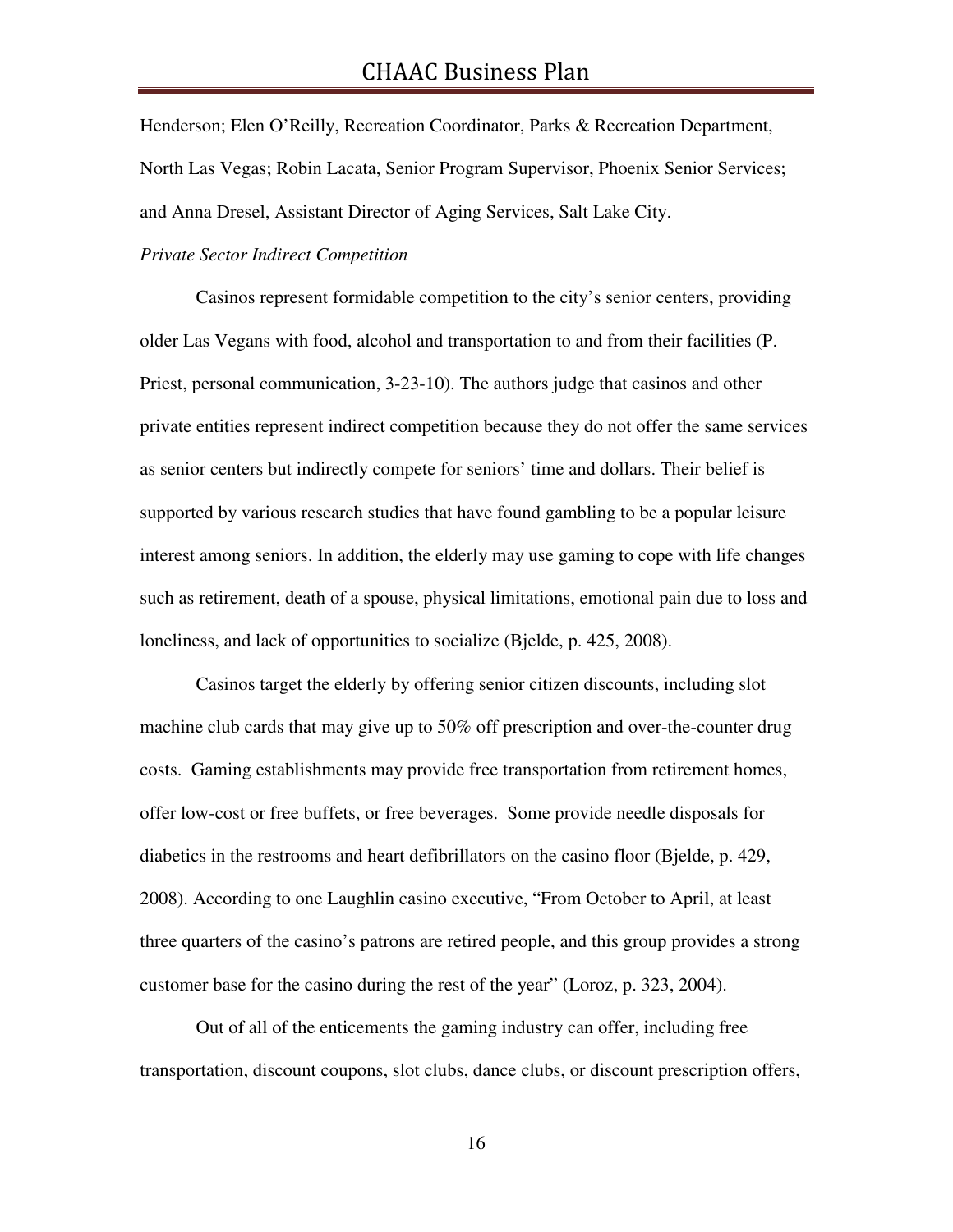Henderson; Elen O'Reilly, Recreation Coordinator, Parks & Recreation Department, North Las Vegas; Robin Lacata, Senior Program Supervisor, Phoenix Senior Services; and Anna Dresel, Assistant Director of Aging Services, Salt Lake City.

#### *Private Sector Indirect Competition*

 Casinos represent formidable competition to the city's senior centers, providing older Las Vegans with food, alcohol and transportation to and from their facilities (P. Priest, personal communication, 3-23-10). The authors judge that casinos and other private entities represent indirect competition because they do not offer the same services as senior centers but indirectly compete for seniors' time and dollars. Their belief is supported by various research studies that have found gambling to be a popular leisure interest among seniors. In addition, the elderly may use gaming to cope with life changes such as retirement, death of a spouse, physical limitations, emotional pain due to loss and loneliness, and lack of opportunities to socialize (Bjelde, p. 425, 2008).

 Casinos target the elderly by offering senior citizen discounts, including slot machine club cards that may give up to 50% off prescription and over-the-counter drug costs. Gaming establishments may provide free transportation from retirement homes, offer low-cost or free buffets, or free beverages. Some provide needle disposals for diabetics in the restrooms and heart defibrillators on the casino floor (Bjelde, p. 429, 2008). According to one Laughlin casino executive, "From October to April, at least three quarters of the casino's patrons are retired people, and this group provides a strong customer base for the casino during the rest of the year" (Loroz, p. 323, 2004).

 Out of all of the enticements the gaming industry can offer, including free transportation, discount coupons, slot clubs, dance clubs, or discount prescription offers,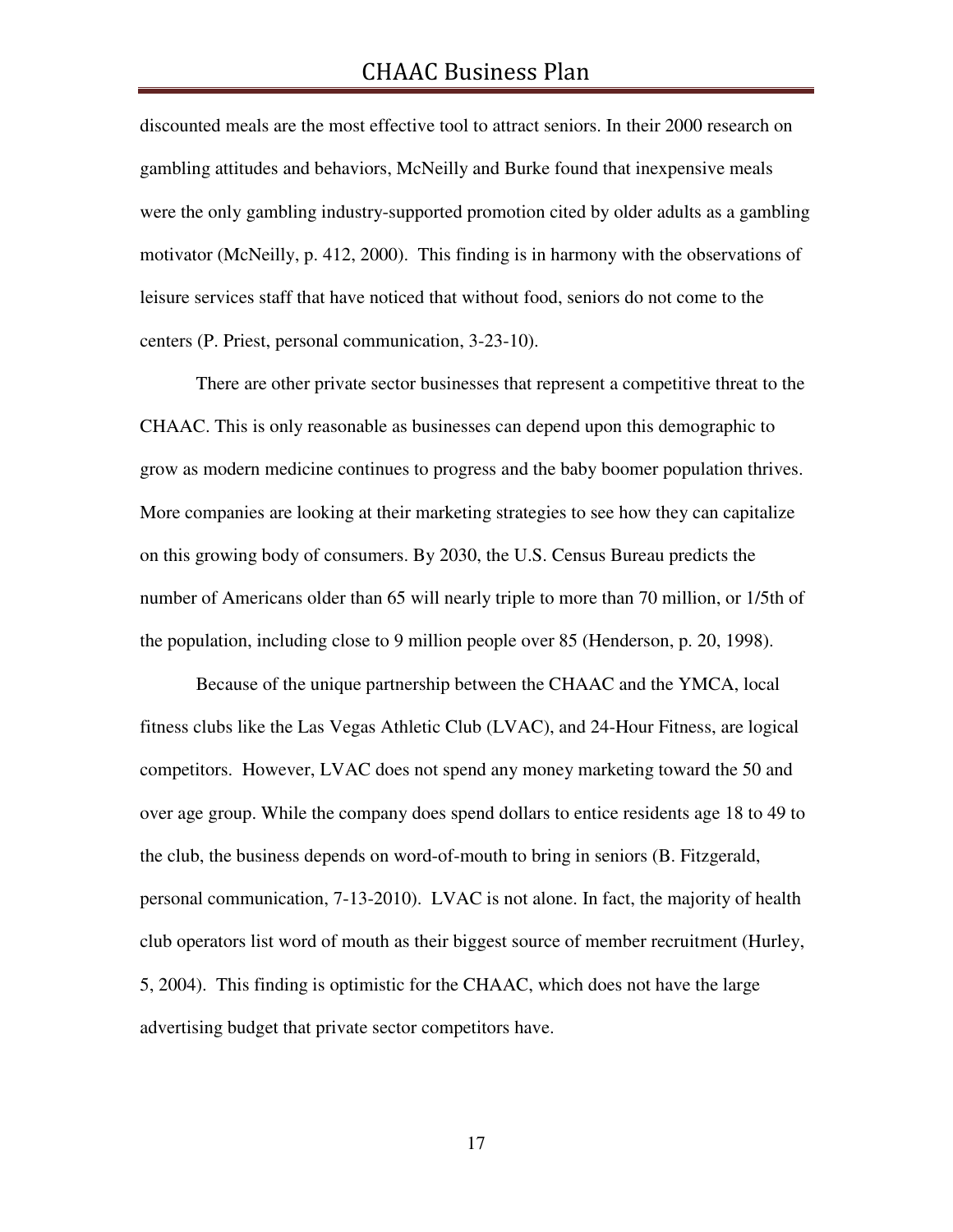discounted meals are the most effective tool to attract seniors. In their 2000 research on gambling attitudes and behaviors, McNeilly and Burke found that inexpensive meals were the only gambling industry-supported promotion cited by older adults as a gambling motivator (McNeilly, p. 412, 2000). This finding is in harmony with the observations of leisure services staff that have noticed that without food, seniors do not come to the centers (P. Priest, personal communication, 3-23-10).

 There are other private sector businesses that represent a competitive threat to the CHAAC. This is only reasonable as businesses can depend upon this demographic to grow as modern medicine continues to progress and the baby boomer population thrives. More companies are looking at their marketing strategies to see how they can capitalize on this growing body of consumers. By 2030, the U.S. Census Bureau predicts the number of Americans older than 65 will nearly triple to more than 70 million, or 1/5th of the population, including close to 9 million people over 85 (Henderson, p. 20, 1998).

Because of the unique partnership between the CHAAC and the YMCA, local fitness clubs like the Las Vegas Athletic Club (LVAC), and 24-Hour Fitness, are logical competitors. However, LVAC does not spend any money marketing toward the 50 and over age group. While the company does spend dollars to entice residents age 18 to 49 to the club, the business depends on word-of-mouth to bring in seniors (B. Fitzgerald, personal communication, 7-13-2010). LVAC is not alone. In fact, the majority of health club operators list word of mouth as their biggest source of member recruitment (Hurley, 5, 2004). This finding is optimistic for the CHAAC, which does not have the large advertising budget that private sector competitors have.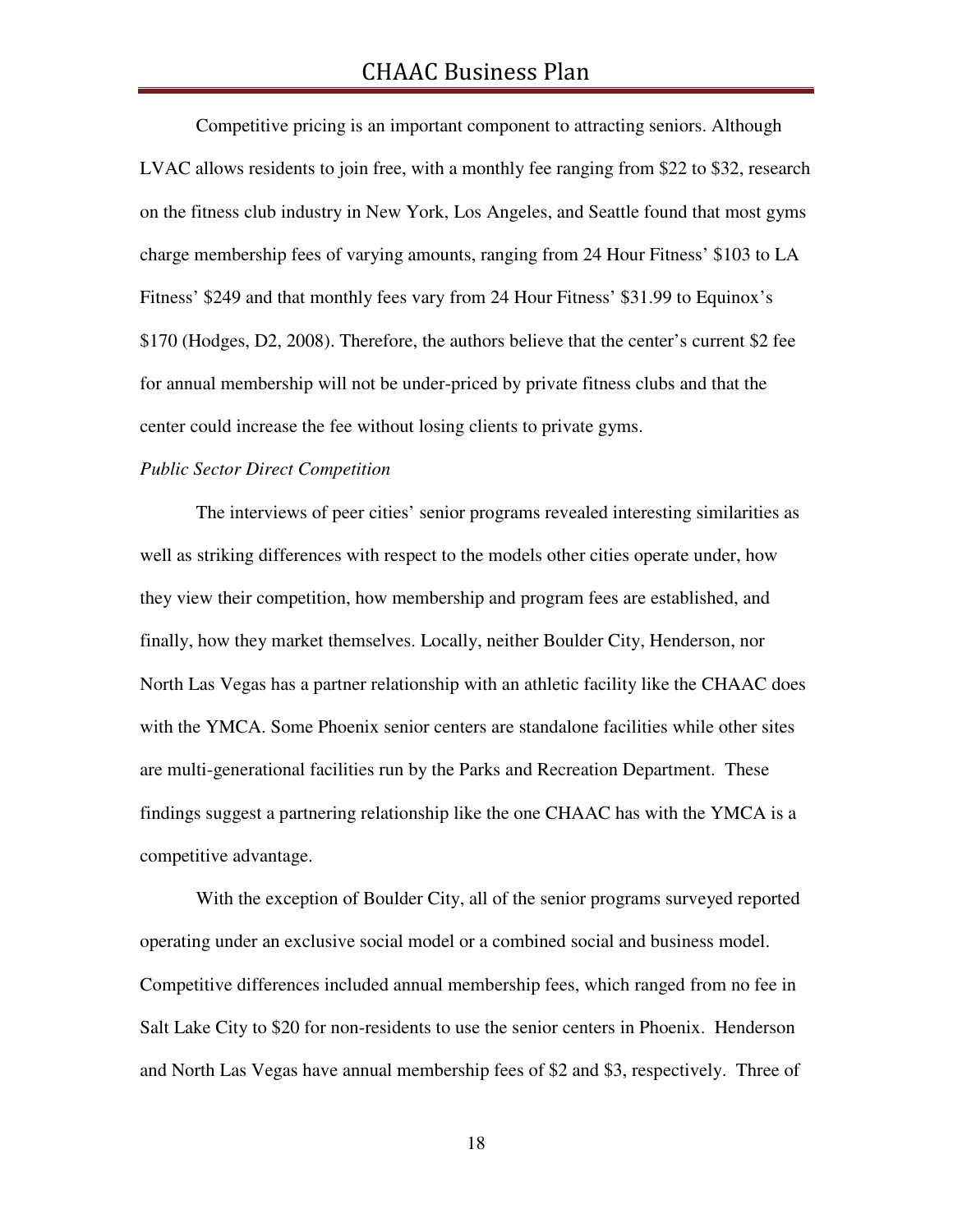Competitive pricing is an important component to attracting seniors. Although LVAC allows residents to join free, with a monthly fee ranging from \$22 to \$32, research on the fitness club industry in New York, Los Angeles, and Seattle found that most gyms charge membership fees of varying amounts, ranging from 24 Hour Fitness' \$103 to LA Fitness' \$249 and that monthly fees vary from 24 Hour Fitness' \$31.99 to Equinox's \$170 (Hodges, D2, 2008). Therefore, the authors believe that the center's current \$2 fee for annual membership will not be under-priced by private fitness clubs and that the center could increase the fee without losing clients to private gyms.

#### *Public Sector Direct Competition*

 The interviews of peer cities' senior programs revealed interesting similarities as well as striking differences with respect to the models other cities operate under, how they view their competition, how membership and program fees are established, and finally, how they market themselves. Locally, neither Boulder City, Henderson, nor North Las Vegas has a partner relationship with an athletic facility like the CHAAC does with the YMCA. Some Phoenix senior centers are standalone facilities while other sites are multi-generational facilities run by the Parks and Recreation Department. These findings suggest a partnering relationship like the one CHAAC has with the YMCA is a competitive advantage.

 With the exception of Boulder City, all of the senior programs surveyed reported operating under an exclusive social model or a combined social and business model. Competitive differences included annual membership fees, which ranged from no fee in Salt Lake City to \$20 for non-residents to use the senior centers in Phoenix. Henderson and North Las Vegas have annual membership fees of \$2 and \$3, respectively. Three of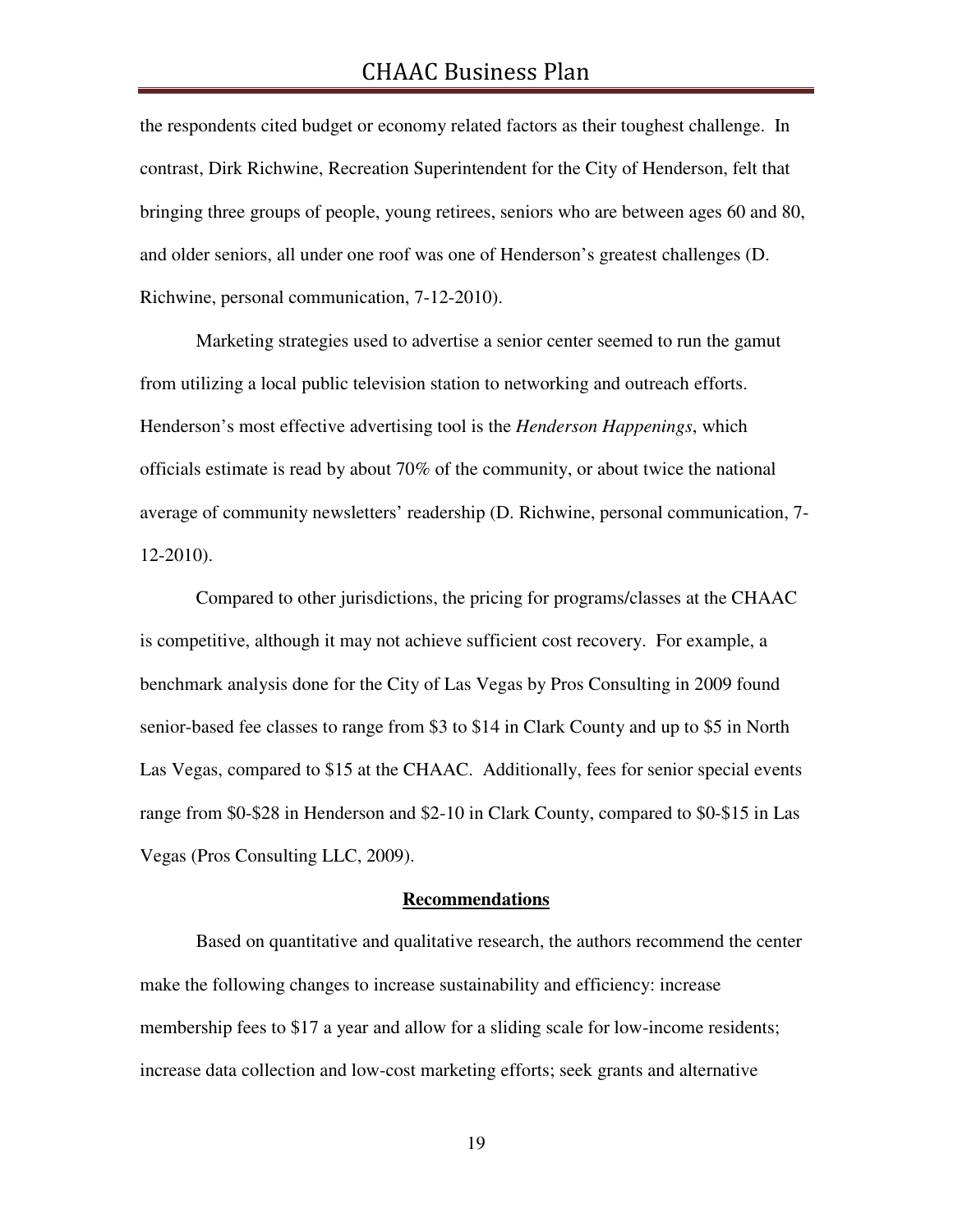the respondents cited budget or economy related factors as their toughest challenge. In contrast, Dirk Richwine, Recreation Superintendent for the City of Henderson, felt that bringing three groups of people, young retirees, seniors who are between ages 60 and 80, and older seniors, all under one roof was one of Henderson's greatest challenges (D. Richwine, personal communication, 7-12-2010).

 Marketing strategies used to advertise a senior center seemed to run the gamut from utilizing a local public television station to networking and outreach efforts. Henderson's most effective advertising tool is the *Henderson Happenings*, which officials estimate is read by about 70% of the community, or about twice the national average of community newsletters' readership (D. Richwine, personal communication, 7- 12-2010).

 Compared to other jurisdictions, the pricing for programs/classes at the CHAAC is competitive, although it may not achieve sufficient cost recovery. For example, a benchmark analysis done for the City of Las Vegas by Pros Consulting in 2009 found senior-based fee classes to range from \$3 to \$14 in Clark County and up to \$5 in North Las Vegas, compared to \$15 at the CHAAC. Additionally, fees for senior special events range from \$0-\$28 in Henderson and \$2-10 in Clark County, compared to \$0-\$15 in Las Vegas (Pros Consulting LLC, 2009).

#### **Recommendations**

Based on quantitative and qualitative research, the authors recommend the center make the following changes to increase sustainability and efficiency: increase membership fees to \$17 a year and allow for a sliding scale for low-income residents; increase data collection and low-cost marketing efforts; seek grants and alternative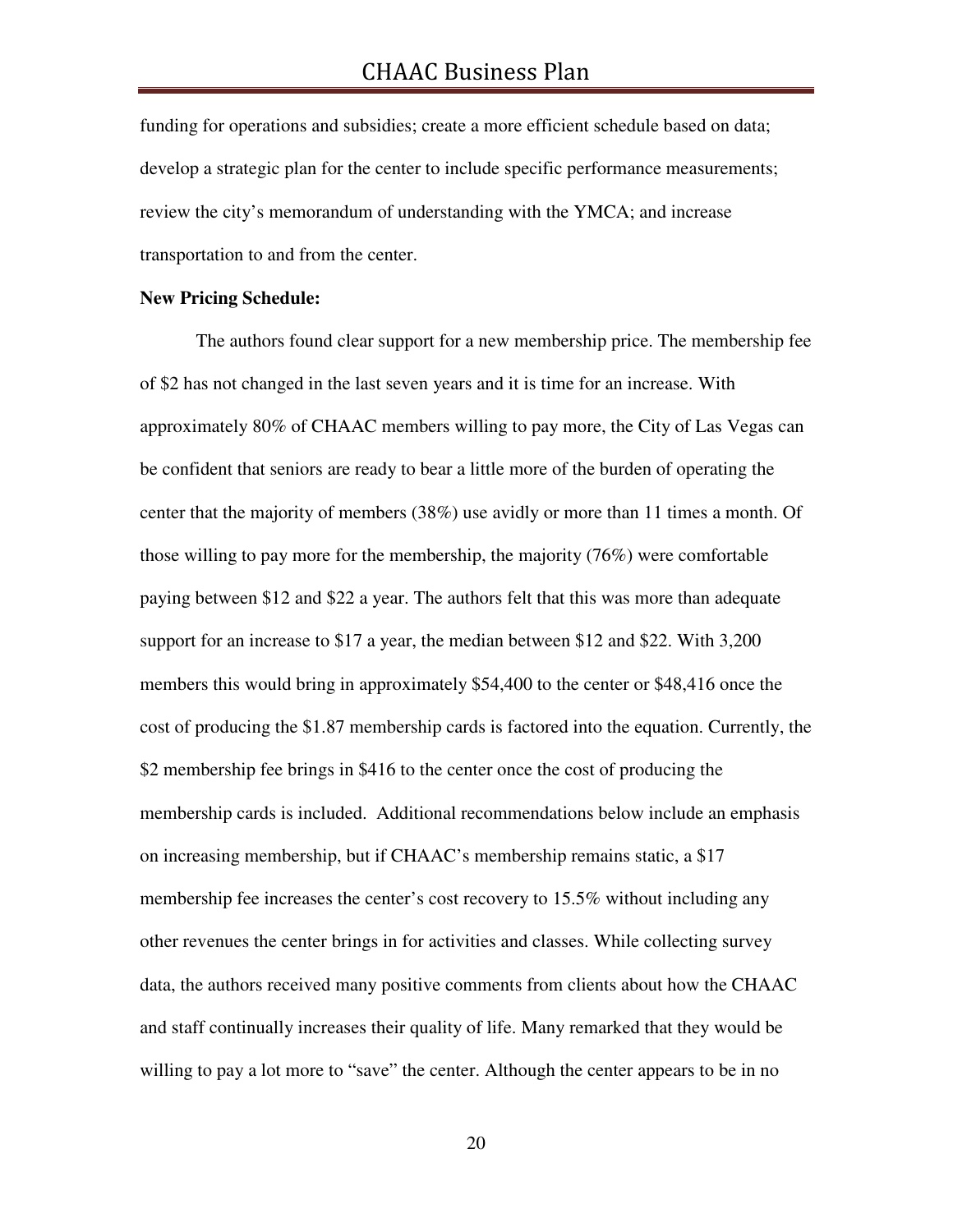funding for operations and subsidies; create a more efficient schedule based on data; develop a strategic plan for the center to include specific performance measurements; review the city's memorandum of understanding with the YMCA; and increase transportation to and from the center.

#### **New Pricing Schedule:**

 The authors found clear support for a new membership price. The membership fee of \$2 has not changed in the last seven years and it is time for an increase. With approximately 80% of CHAAC members willing to pay more, the City of Las Vegas can be confident that seniors are ready to bear a little more of the burden of operating the center that the majority of members (38%) use avidly or more than 11 times a month. Of those willing to pay more for the membership, the majority (76%) were comfortable paying between \$12 and \$22 a year. The authors felt that this was more than adequate support for an increase to \$17 a year, the median between \$12 and \$22. With 3,200 members this would bring in approximately \$54,400 to the center or \$48,416 once the cost of producing the \$1.87 membership cards is factored into the equation. Currently, the \$2 membership fee brings in \$416 to the center once the cost of producing the membership cards is included. Additional recommendations below include an emphasis on increasing membership, but if CHAAC's membership remains static, a \$17 membership fee increases the center's cost recovery to 15.5% without including any other revenues the center brings in for activities and classes. While collecting survey data, the authors received many positive comments from clients about how the CHAAC and staff continually increases their quality of life. Many remarked that they would be willing to pay a lot more to "save" the center. Although the center appears to be in no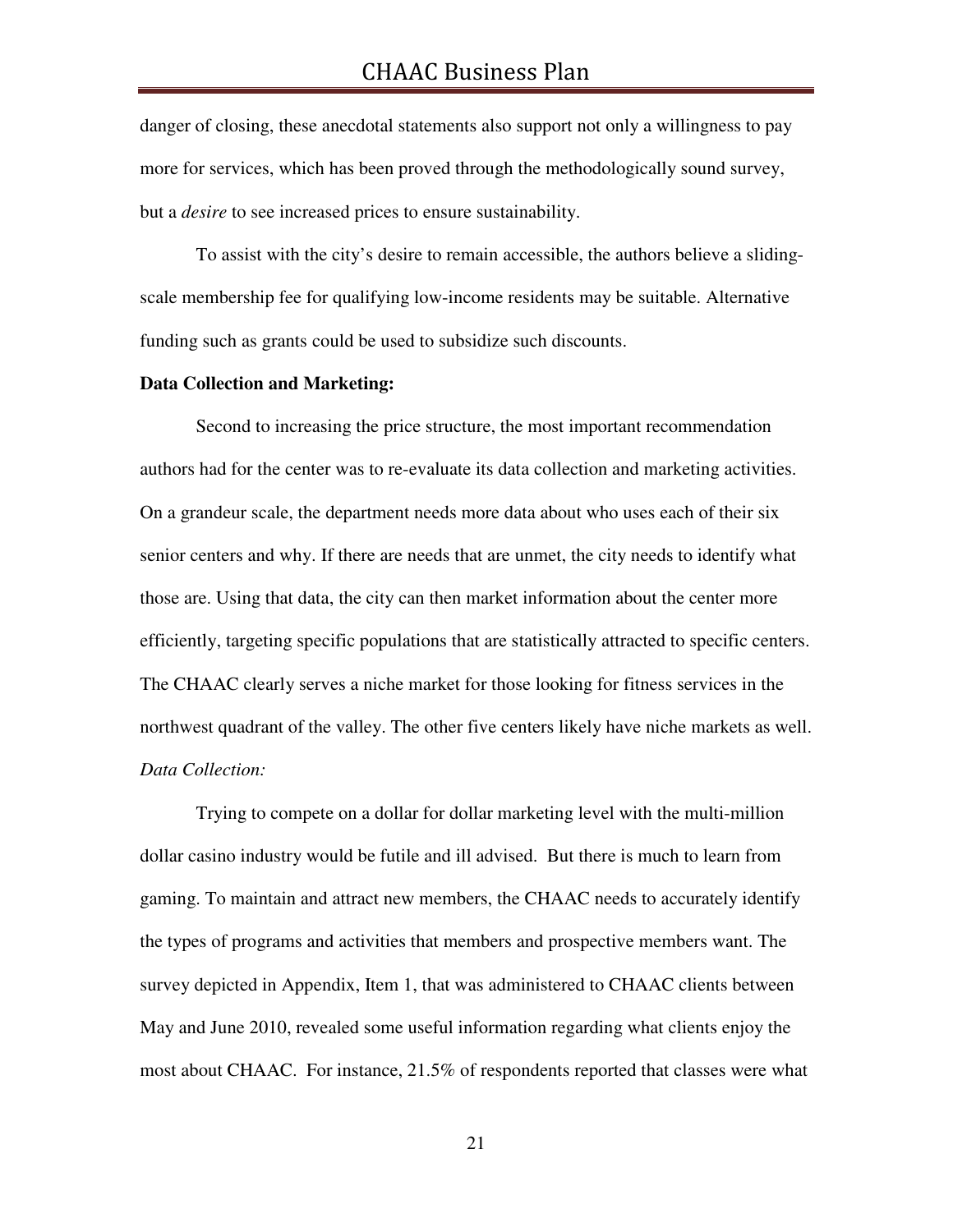danger of closing, these anecdotal statements also support not only a willingness to pay more for services, which has been proved through the methodologically sound survey, but a *desire* to see increased prices to ensure sustainability.

 To assist with the city's desire to remain accessible, the authors believe a slidingscale membership fee for qualifying low-income residents may be suitable. Alternative funding such as grants could be used to subsidize such discounts.

#### **Data Collection and Marketing:**

 Second to increasing the price structure, the most important recommendation authors had for the center was to re-evaluate its data collection and marketing activities. On a grandeur scale, the department needs more data about who uses each of their six senior centers and why. If there are needs that are unmet, the city needs to identify what those are. Using that data, the city can then market information about the center more efficiently, targeting specific populations that are statistically attracted to specific centers. The CHAAC clearly serves a niche market for those looking for fitness services in the northwest quadrant of the valley. The other five centers likely have niche markets as well. *Data Collection:* 

Trying to compete on a dollar for dollar marketing level with the multi-million dollar casino industry would be futile and ill advised. But there is much to learn from gaming. To maintain and attract new members, the CHAAC needs to accurately identify the types of programs and activities that members and prospective members want. The survey depicted in Appendix, Item 1, that was administered to CHAAC clients between May and June 2010, revealed some useful information regarding what clients enjoy the most about CHAAC. For instance, 21.5% of respondents reported that classes were what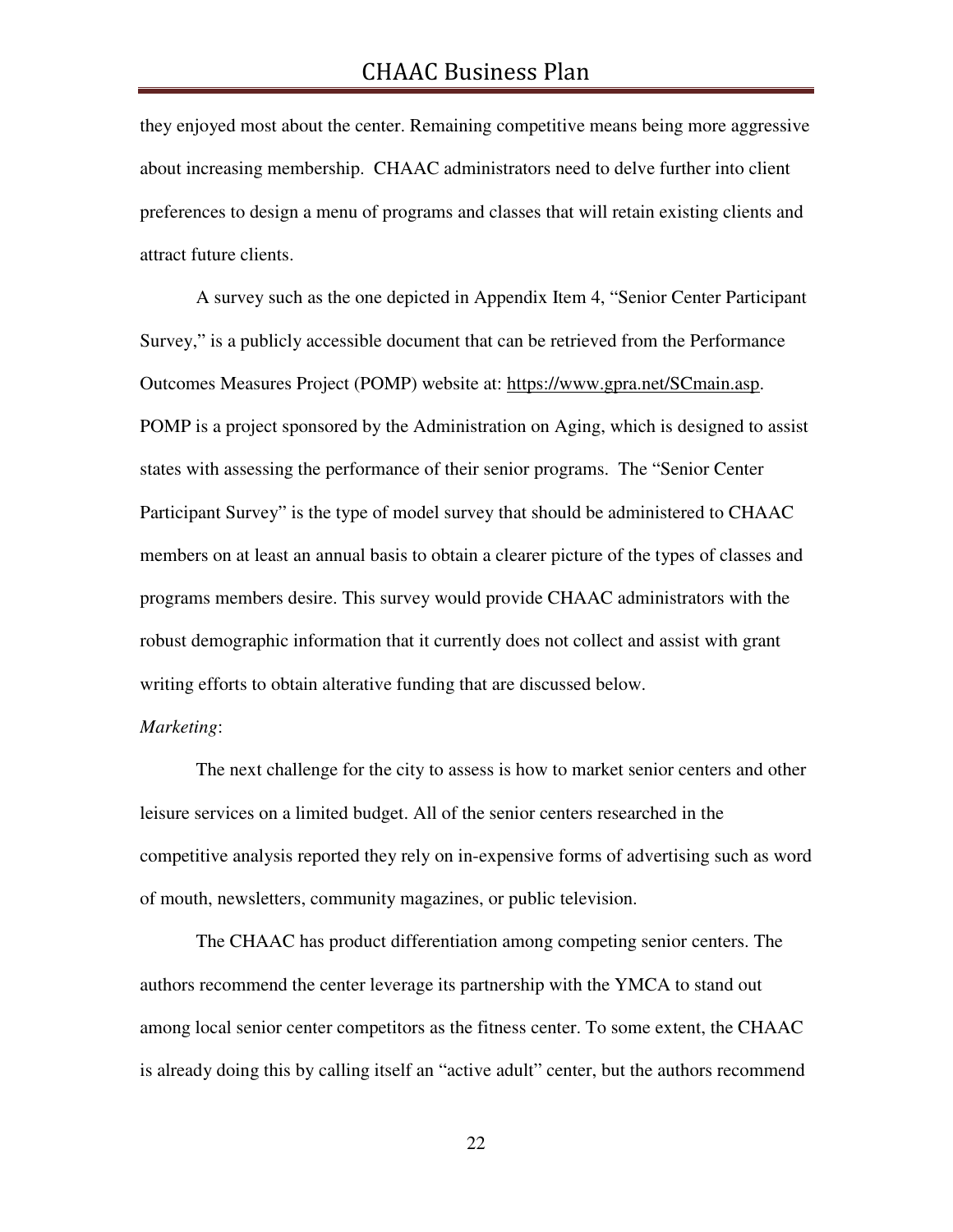they enjoyed most about the center. Remaining competitive means being more aggressive about increasing membership. CHAAC administrators need to delve further into client preferences to design a menu of programs and classes that will retain existing clients and attract future clients.

 A survey such as the one depicted in Appendix Item 4, "Senior Center Participant Survey," is a publicly accessible document that can be retrieved from the Performance Outcomes Measures Project (POMP) website at: https://www.gpra.net/SCmain.asp. POMP is a project sponsored by the Administration on Aging, which is designed to assist states with assessing the performance of their senior programs. The "Senior Center Participant Survey" is the type of model survey that should be administered to CHAAC members on at least an annual basis to obtain a clearer picture of the types of classes and programs members desire. This survey would provide CHAAC administrators with the robust demographic information that it currently does not collect and assist with grant writing efforts to obtain alterative funding that are discussed below.

#### *Marketing*:

The next challenge for the city to assess is how to market senior centers and other leisure services on a limited budget. All of the senior centers researched in the competitive analysis reported they rely on in-expensive forms of advertising such as word of mouth, newsletters, community magazines, or public television.

The CHAAC has product differentiation among competing senior centers. The authors recommend the center leverage its partnership with the YMCA to stand out among local senior center competitors as the fitness center. To some extent, the CHAAC is already doing this by calling itself an "active adult" center, but the authors recommend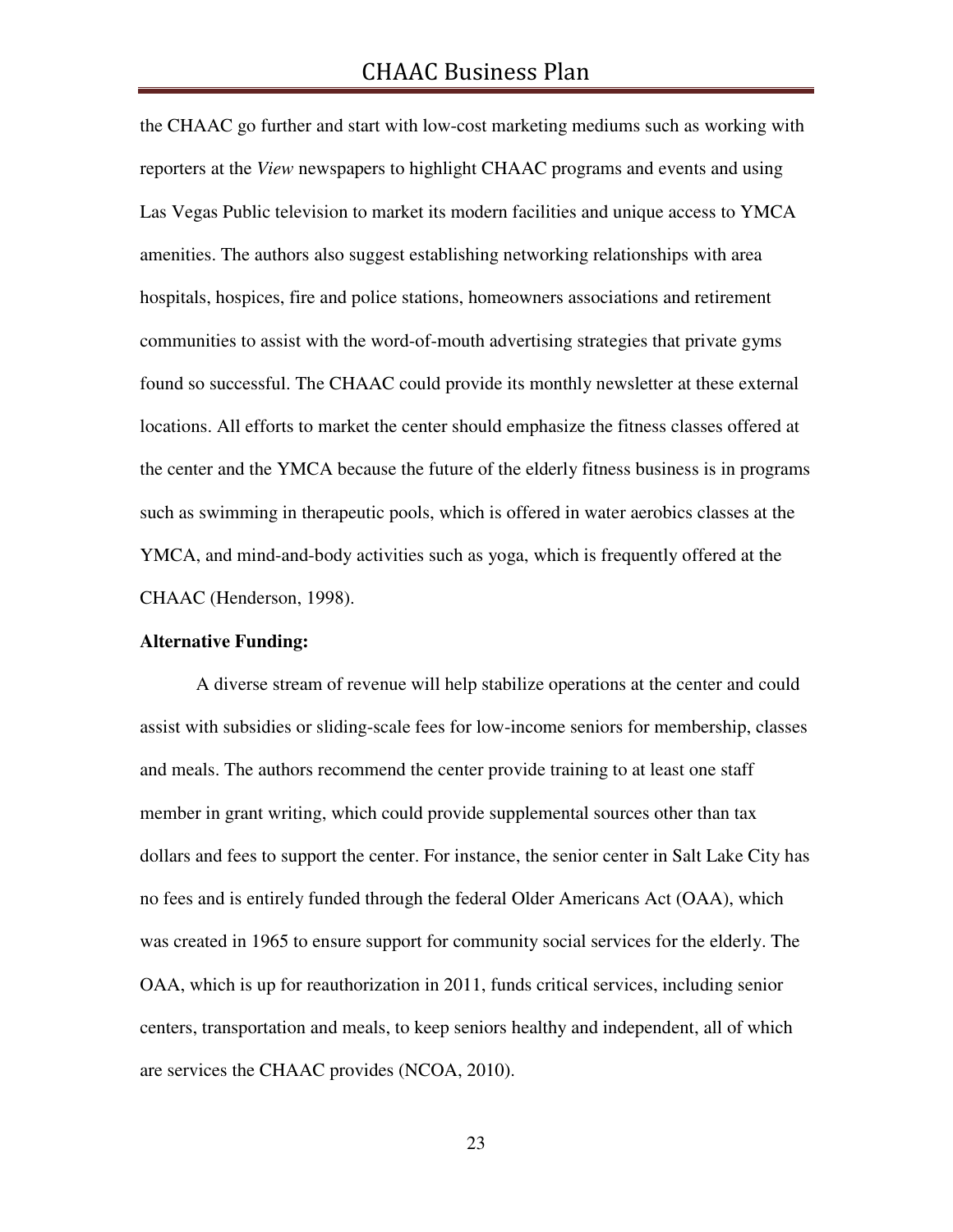the CHAAC go further and start with low-cost marketing mediums such as working with reporters at the *View* newspapers to highlight CHAAC programs and events and using Las Vegas Public television to market its modern facilities and unique access to YMCA amenities. The authors also suggest establishing networking relationships with area hospitals, hospices, fire and police stations, homeowners associations and retirement communities to assist with the word-of-mouth advertising strategies that private gyms found so successful. The CHAAC could provide its monthly newsletter at these external locations. All efforts to market the center should emphasize the fitness classes offered at the center and the YMCA because the future of the elderly fitness business is in programs such as swimming in therapeutic pools, which is offered in water aerobics classes at the YMCA, and mind-and-body activities such as yoga, which is frequently offered at the CHAAC (Henderson, 1998).

#### **Alternative Funding:**

 A diverse stream of revenue will help stabilize operations at the center and could assist with subsidies or sliding-scale fees for low-income seniors for membership, classes and meals. The authors recommend the center provide training to at least one staff member in grant writing, which could provide supplemental sources other than tax dollars and fees to support the center. For instance, the senior center in Salt Lake City has no fees and is entirely funded through the federal Older Americans Act (OAA), which was created in 1965 to ensure support for community social services for the elderly. The OAA, which is up for reauthorization in 2011, funds critical services, including senior centers, transportation and meals, to keep seniors healthy and independent, all of which are services the CHAAC provides (NCOA, 2010).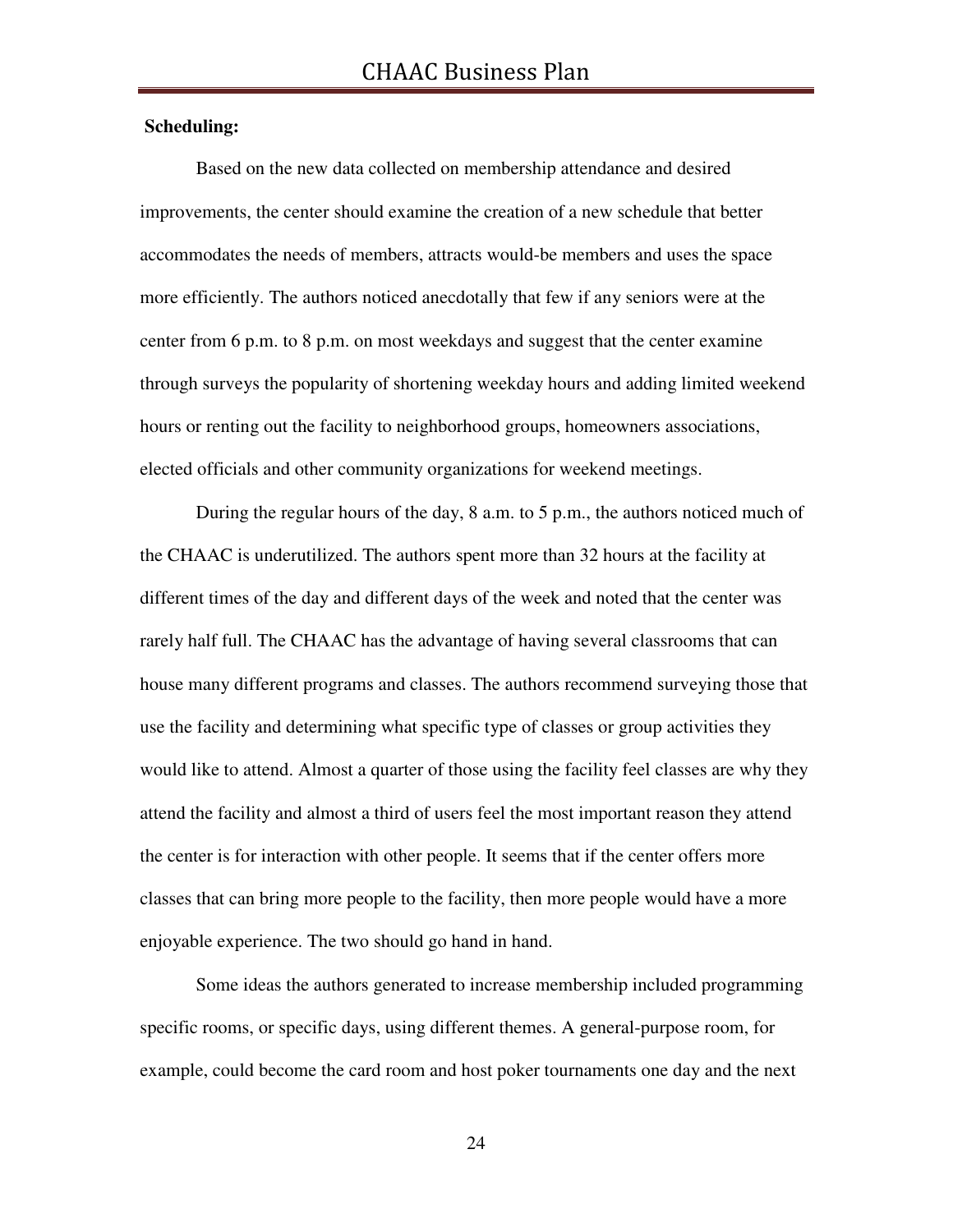#### **Scheduling:**

Based on the new data collected on membership attendance and desired improvements, the center should examine the creation of a new schedule that better accommodates the needs of members, attracts would-be members and uses the space more efficiently. The authors noticed anecdotally that few if any seniors were at the center from 6 p.m. to 8 p.m. on most weekdays and suggest that the center examine through surveys the popularity of shortening weekday hours and adding limited weekend hours or renting out the facility to neighborhood groups, homeowners associations, elected officials and other community organizations for weekend meetings.

During the regular hours of the day, 8 a.m. to 5 p.m., the authors noticed much of the CHAAC is underutilized. The authors spent more than 32 hours at the facility at different times of the day and different days of the week and noted that the center was rarely half full. The CHAAC has the advantage of having several classrooms that can house many different programs and classes. The authors recommend surveying those that use the facility and determining what specific type of classes or group activities they would like to attend. Almost a quarter of those using the facility feel classes are why they attend the facility and almost a third of users feel the most important reason they attend the center is for interaction with other people. It seems that if the center offers more classes that can bring more people to the facility, then more people would have a more enjoyable experience. The two should go hand in hand.

Some ideas the authors generated to increase membership included programming specific rooms, or specific days, using different themes. A general-purpose room, for example, could become the card room and host poker tournaments one day and the next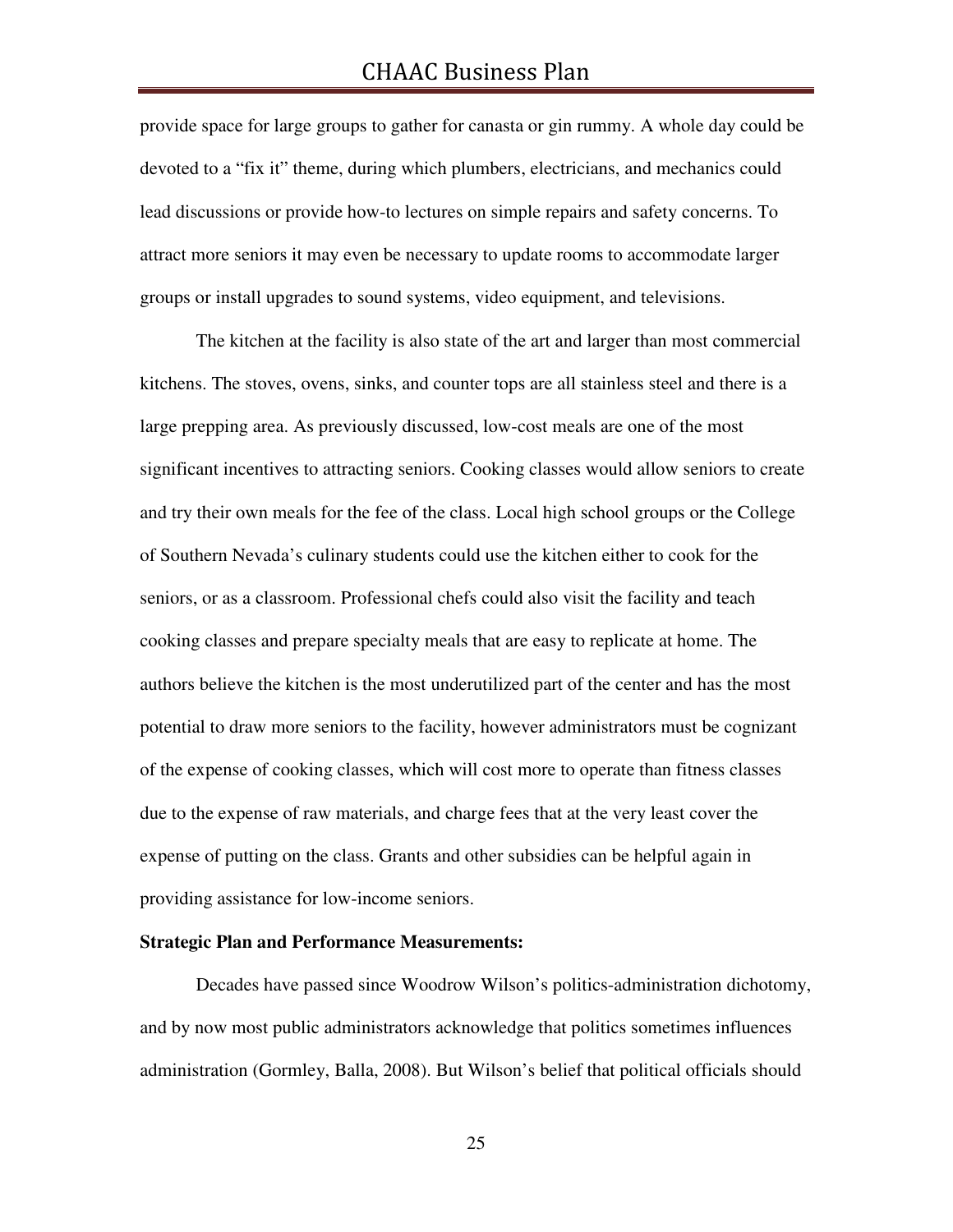provide space for large groups to gather for canasta or gin rummy. A whole day could be devoted to a "fix it" theme, during which plumbers, electricians, and mechanics could lead discussions or provide how-to lectures on simple repairs and safety concerns. To attract more seniors it may even be necessary to update rooms to accommodate larger groups or install upgrades to sound systems, video equipment, and televisions.

The kitchen at the facility is also state of the art and larger than most commercial kitchens. The stoves, ovens, sinks, and counter tops are all stainless steel and there is a large prepping area. As previously discussed, low-cost meals are one of the most significant incentives to attracting seniors. Cooking classes would allow seniors to create and try their own meals for the fee of the class. Local high school groups or the College of Southern Nevada's culinary students could use the kitchen either to cook for the seniors, or as a classroom. Professional chefs could also visit the facility and teach cooking classes and prepare specialty meals that are easy to replicate at home. The authors believe the kitchen is the most underutilized part of the center and has the most potential to draw more seniors to the facility, however administrators must be cognizant of the expense of cooking classes, which will cost more to operate than fitness classes due to the expense of raw materials, and charge fees that at the very least cover the expense of putting on the class. Grants and other subsidies can be helpful again in providing assistance for low-income seniors.

#### **Strategic Plan and Performance Measurements:**

 Decades have passed since Woodrow Wilson's politics-administration dichotomy, and by now most public administrators acknowledge that politics sometimes influences administration (Gormley, Balla, 2008). But Wilson's belief that political officials should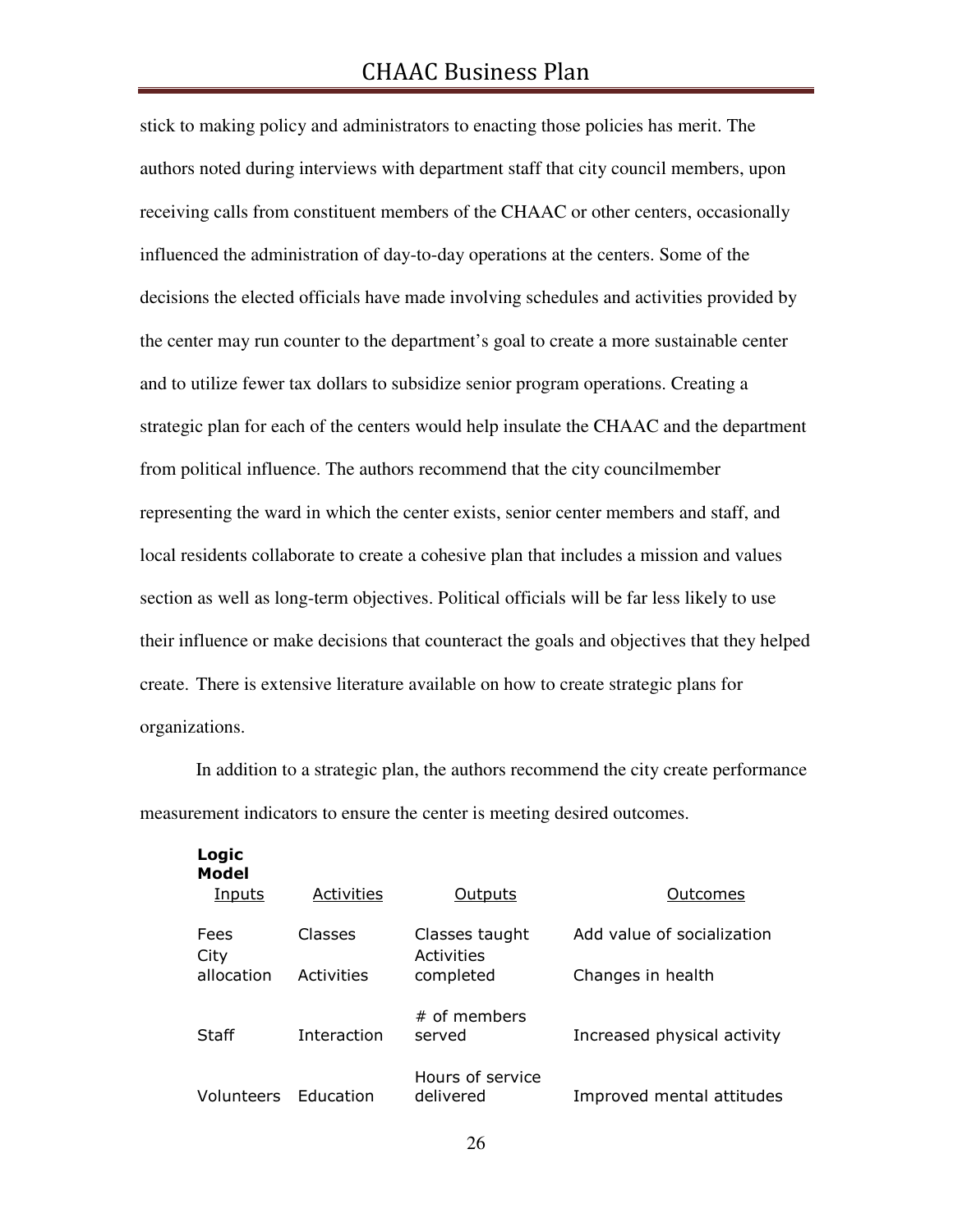stick to making policy and administrators to enacting those policies has merit. The authors noted during interviews with department staff that city council members, upon receiving calls from constituent members of the CHAAC or other centers, occasionally influenced the administration of day-to-day operations at the centers. Some of the decisions the elected officials have made involving schedules and activities provided by the center may run counter to the department's goal to create a more sustainable center and to utilize fewer tax dollars to subsidize senior program operations. Creating a strategic plan for each of the centers would help insulate the CHAAC and the department from political influence. The authors recommend that the city councilmember representing the ward in which the center exists, senior center members and staff, and local residents collaborate to create a cohesive plan that includes a mission and values section as well as long-term objectives. Political officials will be far less likely to use their influence or make decisions that counteract the goals and objectives that they helped create. There is extensive literature available on how to create strategic plans for organizations.

In addition to a strategic plan, the authors recommend the city create performance measurement indicators to ensure the center is meeting desired outcomes.

| Logic<br><b>Model</b><br>Inputs | <b>Activities</b> | <b>Outputs</b>                | Outcomes                    |
|---------------------------------|-------------------|-------------------------------|-----------------------------|
| Fees                            | Classes           | Classes taught                | Add value of socialization  |
| City<br>allocation              | Activities        | Activities<br>completed       | Changes in health           |
| Staff                           | Interaction       | # of members<br>served        | Increased physical activity |
| Volunteers                      | Education         | Hours of service<br>delivered | Improved mental attitudes   |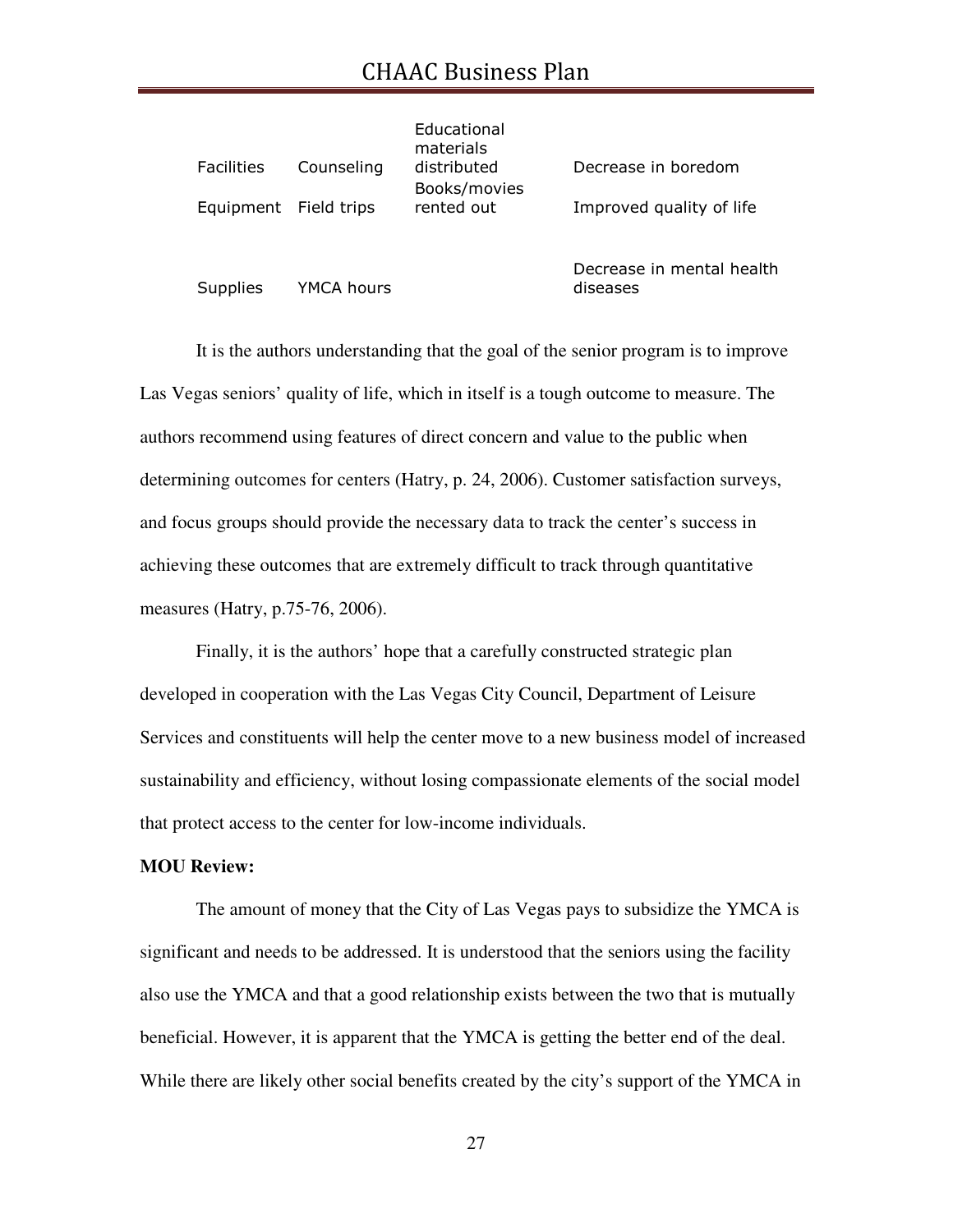# CHAAC Business Plan

|                       |            | Educational<br>materials |                          |
|-----------------------|------------|--------------------------|--------------------------|
| Facilities            | Counseling | distributed              | Decrease in boredom      |
|                       |            | Books/movies             |                          |
| Equipment Field trips |            | rented out               | Improved quality of life |
|                       |            |                          |                          |
|                       |            |                          |                          |

Supplies YMCA hours

Decrease in mental health diseases

 It is the authors understanding that the goal of the senior program is to improve Las Vegas seniors' quality of life, which in itself is a tough outcome to measure. The authors recommend using features of direct concern and value to the public when determining outcomes for centers (Hatry, p. 24, 2006). Customer satisfaction surveys, and focus groups should provide the necessary data to track the center's success in achieving these outcomes that are extremely difficult to track through quantitative measures (Hatry, p.75-76, 2006).

 Finally, it is the authors' hope that a carefully constructed strategic plan developed in cooperation with the Las Vegas City Council, Department of Leisure Services and constituents will help the center move to a new business model of increased sustainability and efficiency, without losing compassionate elements of the social model that protect access to the center for low-income individuals.

#### **MOU Review:**

 The amount of money that the City of Las Vegas pays to subsidize the YMCA is significant and needs to be addressed. It is understood that the seniors using the facility also use the YMCA and that a good relationship exists between the two that is mutually beneficial. However, it is apparent that the YMCA is getting the better end of the deal. While there are likely other social benefits created by the city's support of the YMCA in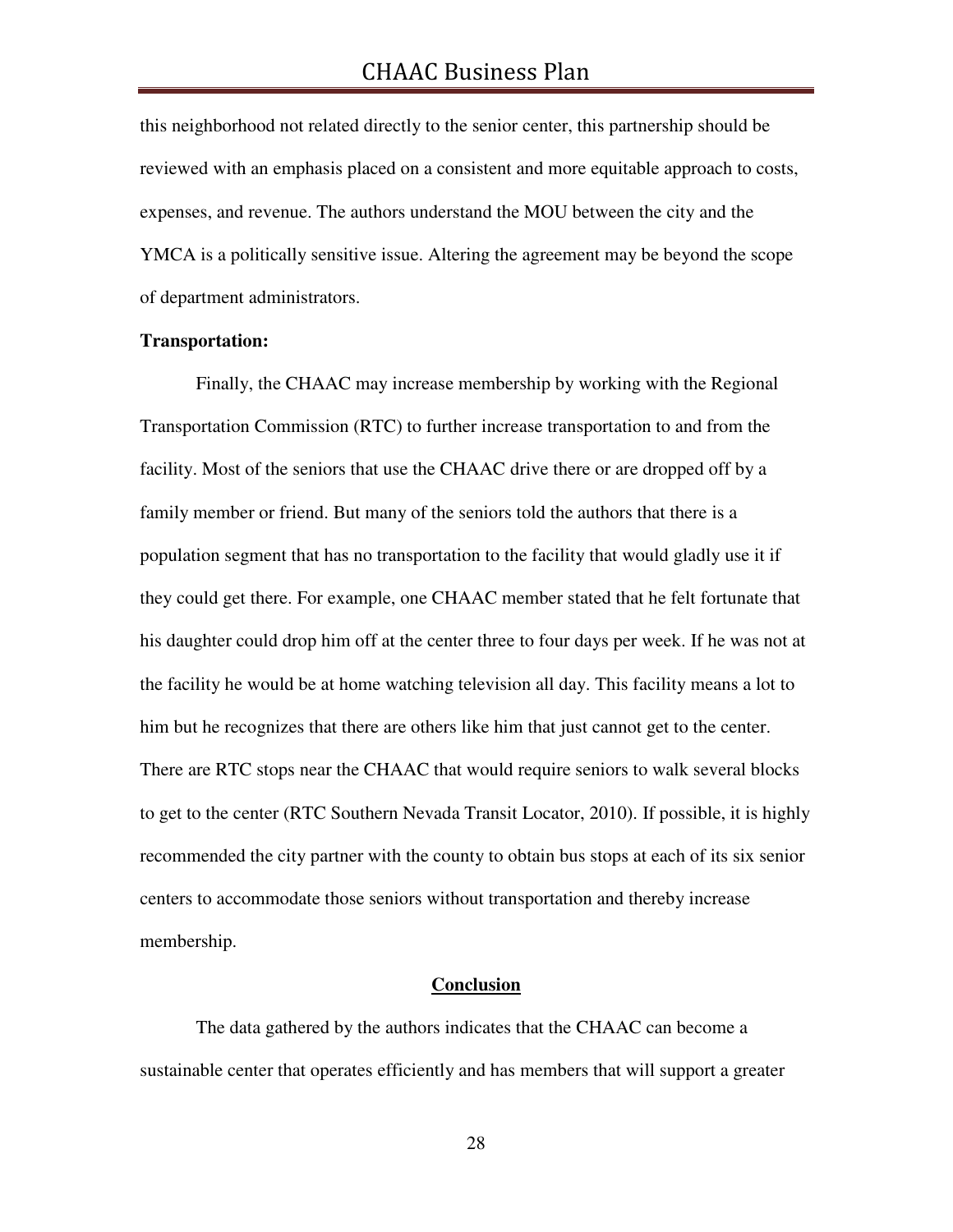this neighborhood not related directly to the senior center, this partnership should be reviewed with an emphasis placed on a consistent and more equitable approach to costs, expenses, and revenue. The authors understand the MOU between the city and the YMCA is a politically sensitive issue. Altering the agreement may be beyond the scope of department administrators.

#### **Transportation:**

 Finally, the CHAAC may increase membership by working with the Regional Transportation Commission (RTC) to further increase transportation to and from the facility. Most of the seniors that use the CHAAC drive there or are dropped off by a family member or friend. But many of the seniors told the authors that there is a population segment that has no transportation to the facility that would gladly use it if they could get there. For example, one CHAAC member stated that he felt fortunate that his daughter could drop him off at the center three to four days per week. If he was not at the facility he would be at home watching television all day. This facility means a lot to him but he recognizes that there are others like him that just cannot get to the center. There are RTC stops near the CHAAC that would require seniors to walk several blocks to get to the center (RTC Southern Nevada Transit Locator, 2010). If possible, it is highly recommended the city partner with the county to obtain bus stops at each of its six senior centers to accommodate those seniors without transportation and thereby increase membership.

#### **Conclusion**

The data gathered by the authors indicates that the CHAAC can become a sustainable center that operates efficiently and has members that will support a greater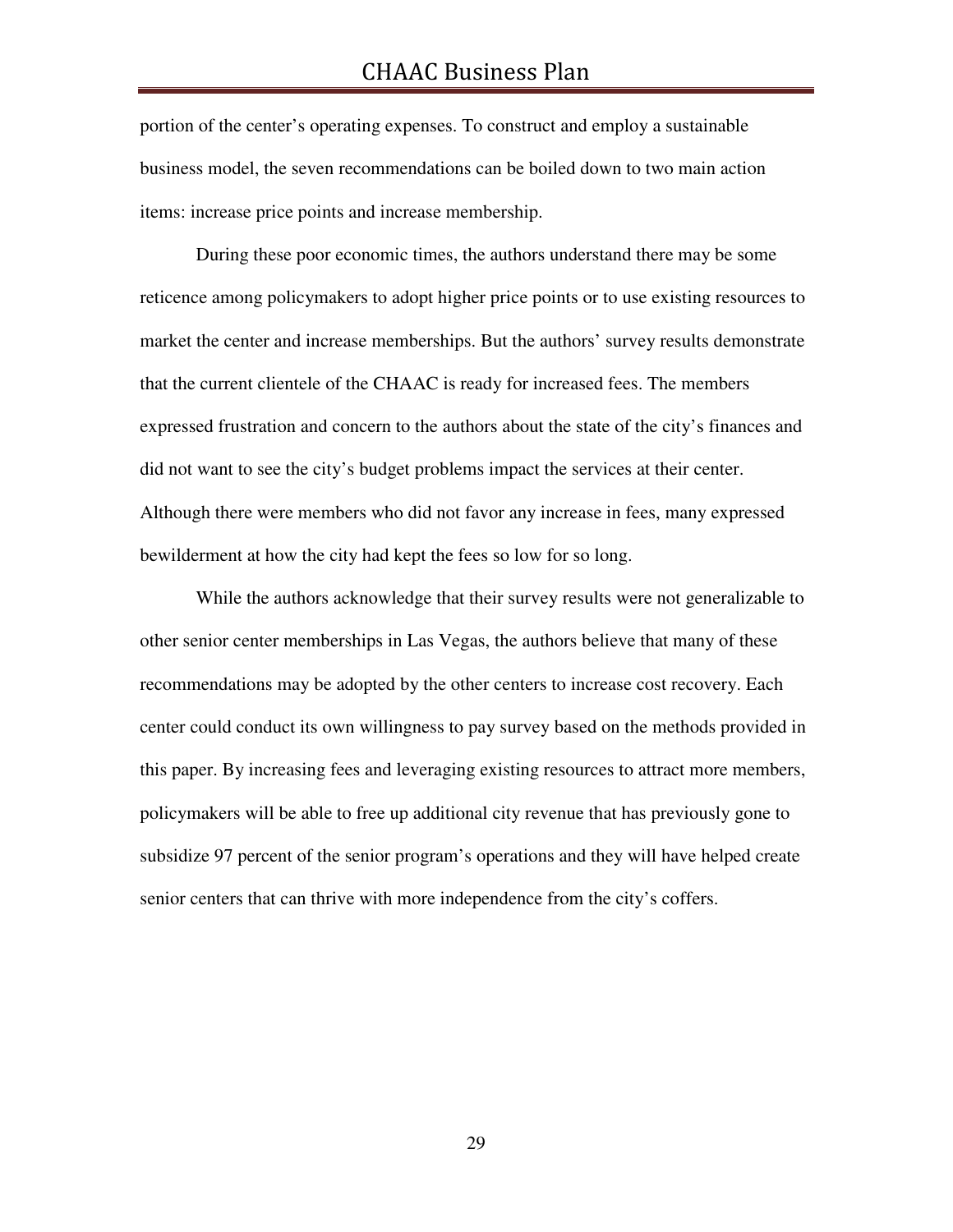portion of the center's operating expenses. To construct and employ a sustainable business model, the seven recommendations can be boiled down to two main action items: increase price points and increase membership.

During these poor economic times, the authors understand there may be some reticence among policymakers to adopt higher price points or to use existing resources to market the center and increase memberships. But the authors' survey results demonstrate that the current clientele of the CHAAC is ready for increased fees. The members expressed frustration and concern to the authors about the state of the city's finances and did not want to see the city's budget problems impact the services at their center. Although there were members who did not favor any increase in fees, many expressed bewilderment at how the city had kept the fees so low for so long.

While the authors acknowledge that their survey results were not generalizable to other senior center memberships in Las Vegas, the authors believe that many of these recommendations may be adopted by the other centers to increase cost recovery. Each center could conduct its own willingness to pay survey based on the methods provided in this paper. By increasing fees and leveraging existing resources to attract more members, policymakers will be able to free up additional city revenue that has previously gone to subsidize 97 percent of the senior program's operations and they will have helped create senior centers that can thrive with more independence from the city's coffers.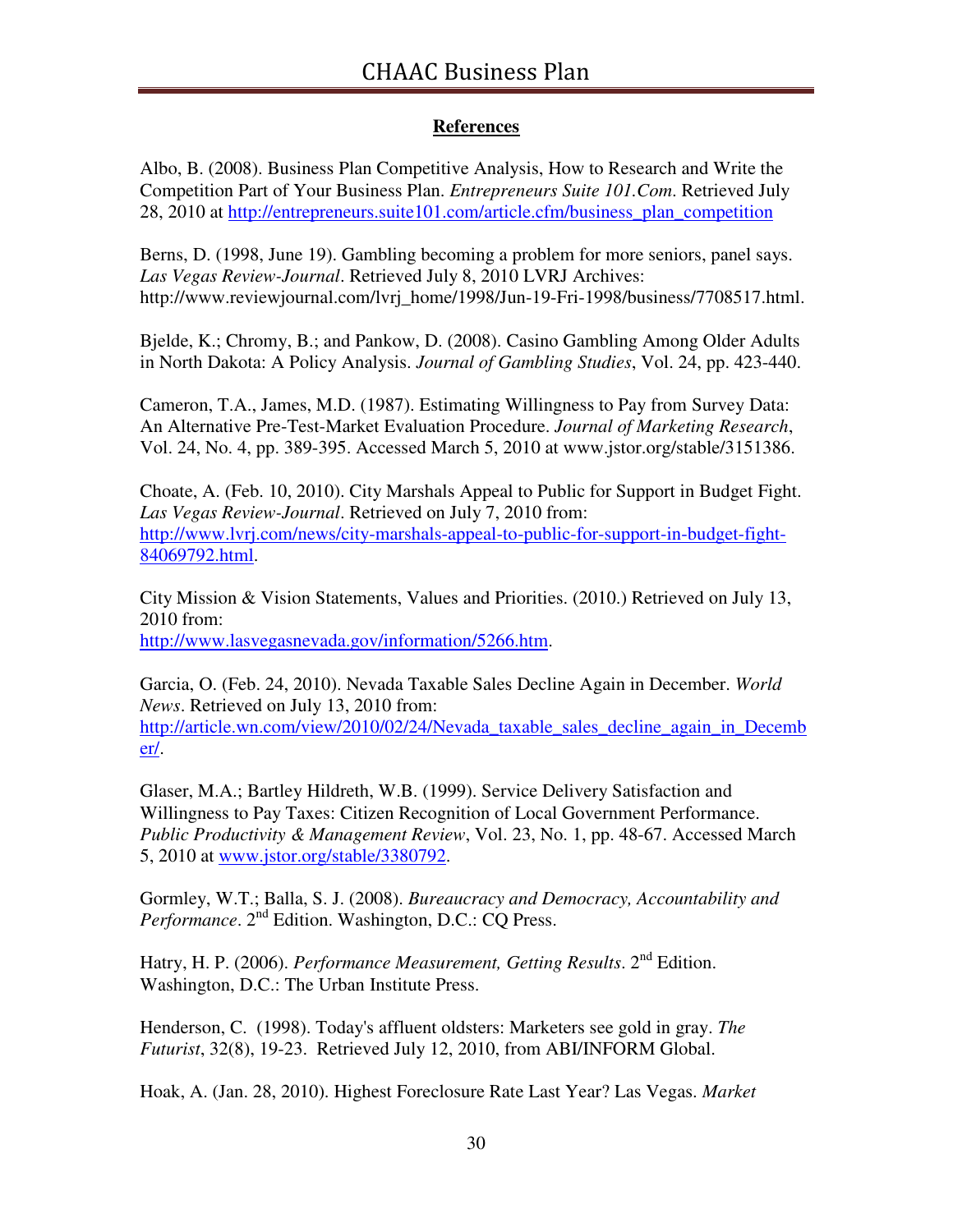#### **References**

Albo, B. (2008). Business Plan Competitive Analysis, How to Research and Write the Competition Part of Your Business Plan. *Entrepreneurs Suite 101.Com*. Retrieved July 28, 2010 at http://entrepreneurs.suite101.com/article.cfm/business\_plan\_competition

Berns, D. (1998, June 19). Gambling becoming a problem for more seniors, panel says. *Las Vegas Review-Journal*. Retrieved July 8, 2010 LVRJ Archives: http://www.reviewjournal.com/lvrj\_home/1998/Jun-19-Fri-1998/business/7708517.html.

Bjelde, K.; Chromy, B.; and Pankow, D. (2008). Casino Gambling Among Older Adults in North Dakota: A Policy Analysis. *Journal of Gambling Studies*, Vol. 24, pp. 423-440.

Cameron, T.A., James, M.D. (1987). Estimating Willingness to Pay from Survey Data: An Alternative Pre-Test-Market Evaluation Procedure. *Journal of Marketing Research*, Vol. 24, No. 4, pp. 389-395. Accessed March 5, 2010 at www.jstor.org/stable/3151386.

Choate, A. (Feb. 10, 2010). City Marshals Appeal to Public for Support in Budget Fight. *Las Vegas Review-Journal*. Retrieved on July 7, 2010 from: http://www.lvrj.com/news/city-marshals-appeal-to-public-for-support-in-budget-fight-84069792.html.

City Mission & Vision Statements, Values and Priorities. (2010.) Retrieved on July 13, 2010 from: http://www.lasvegasnevada.gov/information/5266.htm.

Garcia, O. (Feb. 24, 2010). Nevada Taxable Sales Decline Again in December. *World News*. Retrieved on July 13, 2010 from: http://article.wn.com/view/2010/02/24/Nevada\_taxable\_sales\_decline\_again\_in\_Decemb er/.

Glaser, M.A.; Bartley Hildreth, W.B. (1999). Service Delivery Satisfaction and Willingness to Pay Taxes: Citizen Recognition of Local Government Performance. *Public Productivity & Management Review*, Vol. 23, No. 1, pp. 48-67. Accessed March 5, 2010 at www.jstor.org/stable/3380792.

Gormley, W.T.; Balla, S. J. (2008). *Bureaucracy and Democracy, Accountability and Performance*. 2nd Edition. Washington, D.C.: CQ Press.

Hatry, H. P. (2006). *Performance Measurement, Getting Results*. 2nd Edition. Washington, D.C.: The Urban Institute Press.

Henderson, C. (1998). Today's affluent oldsters: Marketers see gold in gray. *The Futurist*, 32(8), 19-23. Retrieved July 12, 2010, from ABI/INFORM Global.

Hoak, A. (Jan. 28, 2010). Highest Foreclosure Rate Last Year? Las Vegas. *Market*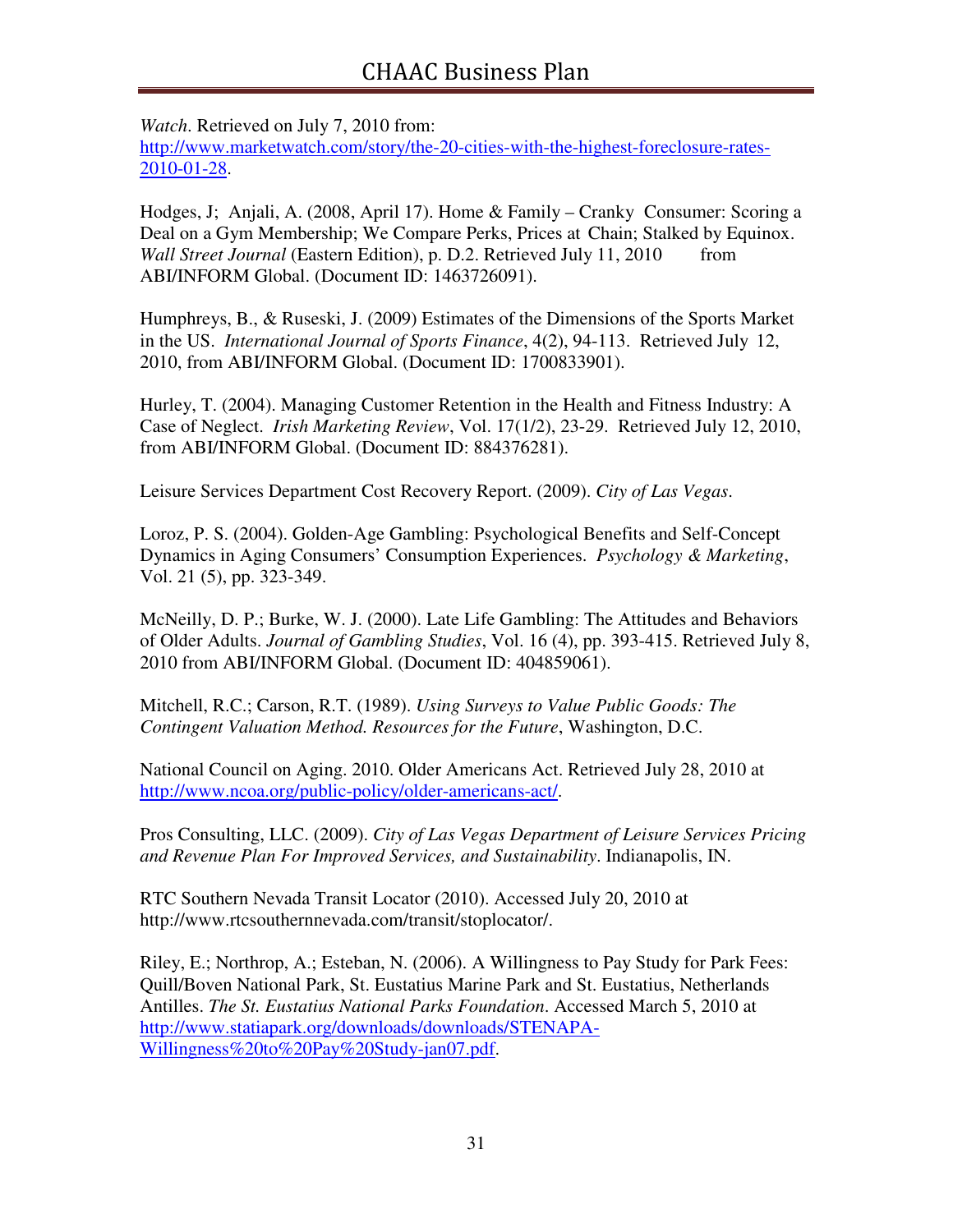*Watch*. Retrieved on July 7, 2010 from: http://www.marketwatch.com/story/the-20-cities-with-the-highest-foreclosure-rates-2010-01-28.

Hodges, J; Anjali, A. (2008, April 17). Home & Family – Cranky Consumer: Scoring a Deal on a Gym Membership; We Compare Perks, Prices at Chain; Stalked by Equinox. *Wall Street Journal* (Eastern Edition), p. D.2. Retrieved July 11, 2010 from ABI/INFORM Global. (Document ID: 1463726091).

Humphreys, B., & Ruseski, J. (2009) Estimates of the Dimensions of the Sports Market in the US. *International Journal of Sports Finance*, 4(2), 94-113. Retrieved July 12, 2010, from ABI/INFORM Global. (Document ID: 1700833901).

Hurley, T. (2004). Managing Customer Retention in the Health and Fitness Industry: A Case of Neglect. *Irish Marketing Review*, Vol. 17(1/2), 23-29. Retrieved July 12, 2010, from ABI/INFORM Global. (Document ID: 884376281).

Leisure Services Department Cost Recovery Report. (2009). *City of Las Vegas*.

Loroz, P. S. (2004). Golden-Age Gambling: Psychological Benefits and Self-Concept Dynamics in Aging Consumers' Consumption Experiences. *Psychology & Marketing*, Vol. 21 (5), pp. 323-349.

McNeilly, D. P.; Burke, W. J. (2000). Late Life Gambling: The Attitudes and Behaviors of Older Adults. *Journal of Gambling Studies*, Vol. 16 (4), pp. 393-415. Retrieved July 8, 2010 from ABI/INFORM Global. (Document ID: 404859061).

Mitchell, R.C.; Carson, R.T. (1989). *Using Surveys to Value Public Goods: The Contingent Valuation Method. Resources for the Future*, Washington, D.C.

National Council on Aging. 2010. Older Americans Act. Retrieved July 28, 2010 at http://www.ncoa.org/public-policy/older-americans-act/.

Pros Consulting, LLC. (2009). *City of Las Vegas Department of Leisure Services Pricing and Revenue Plan For Improved Services, and Sustainability*. Indianapolis, IN.

RTC Southern Nevada Transit Locator (2010). Accessed July 20, 2010 at http://www.rtcsouthernnevada.com/transit/stoplocator/.

Riley, E.; Northrop, A.; Esteban, N. (2006). A Willingness to Pay Study for Park Fees: Quill/Boven National Park, St. Eustatius Marine Park and St. Eustatius, Netherlands Antilles. *The St. Eustatius National Parks Foundation*. Accessed March 5, 2010 at http://www.statiapark.org/downloads/downloads/STENAPA-Willingness%20to%20Pay%20Study-jan07.pdf.